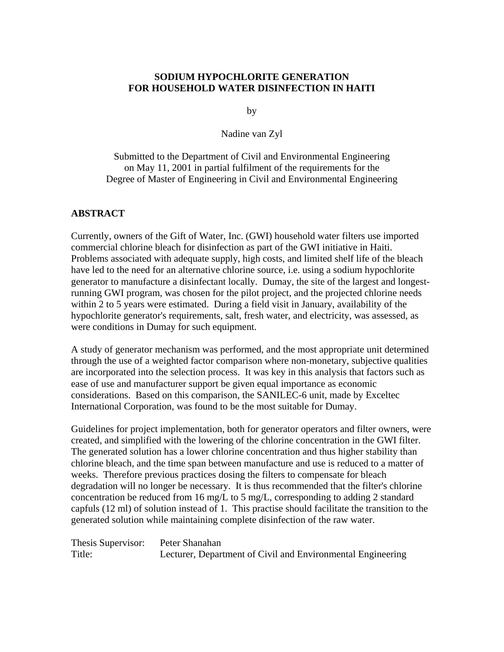#### **SODIUM HYPOCHLORITE GENERATION FOR HOUSEHOLD WATER DISINFECTION IN HAITI**

by

Nadine van Zyl

Submitted to the Department of Civil and Environmental Engineering on May 11, 2001 in partial fulfilment of the requirements for the Degree of Master of Engineering in Civil and Environmental Engineering

#### **ABSTRACT**

Currently, owners of the Gift of Water, Inc. (GWI) household water filters use imported commercial chlorine bleach for disinfection as part of the GWI initiative in Haiti. Problems associated with adequate supply, high costs, and limited shelf life of the bleach have led to the need for an alternative chlorine source, i.e. using a sodium hypochlorite generator to manufacture a disinfectant locally. Dumay, the site of the largest and longestrunning GWI program, was chosen for the pilot project, and the projected chlorine needs within 2 to 5 years were estimated. During a field visit in January, availability of the hypochlorite generator's requirements, salt, fresh water, and electricity, was assessed, as were conditions in Dumay for such equipment.

A study of generator mechanism was performed, and the most appropriate unit determined through the use of a weighted factor comparison where non-monetary, subjective qualities are incorporated into the selection process. It was key in this analysis that factors such as ease of use and manufacturer support be given equal importance as economic considerations. Based on this comparison, the SANILEC-6 unit, made by Exceltec International Corporation, was found to be the most suitable for Dumay.

Guidelines for project implementation, both for generator operators and filter owners, were created, and simplified with the lowering of the chlorine concentration in the GWI filter. The generated solution has a lower chlorine concentration and thus higher stability than chlorine bleach, and the time span between manufacture and use is reduced to a matter of weeks. Therefore previous practices dosing the filters to compensate for bleach degradation will no longer be necessary. It is thus recommended that the filter's chlorine concentration be reduced from 16 mg/L to 5 mg/L, corresponding to adding 2 standard capfuls (12 ml) of solution instead of 1. This practise should facilitate the transition to the generated solution while maintaining complete disinfection of the raw water.

Thesis Supervisor: Peter Shanahan Title: Lecturer, Department of Civil and Environmental Engineering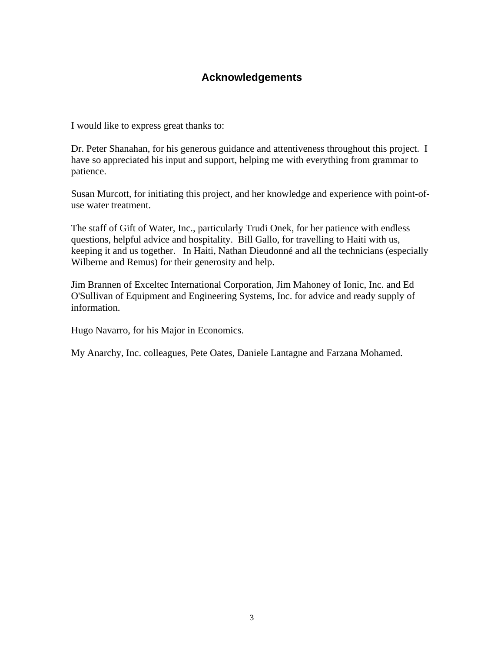### **Acknowledgements**

I would like to express great thanks to:

Dr. Peter Shanahan, for his generous guidance and attentiveness throughout this project. I have so appreciated his input and support, helping me with everything from grammar to patience.

Susan Murcott, for initiating this project, and her knowledge and experience with point-ofuse water treatment.

The staff of Gift of Water, Inc., particularly Trudi Onek, for her patience with endless questions, helpful advice and hospitality. Bill Gallo, for travelling to Haiti with us, keeping it and us together. In Haiti, Nathan Dieudonné and all the technicians (especially Wilberne and Remus) for their generosity and help.

Jim Brannen of Exceltec International Corporation, Jim Mahoney of Ionic, Inc. and Ed O'Sullivan of Equipment and Engineering Systems, Inc. for advice and ready supply of information.

Hugo Navarro, for his Major in Economics.

My Anarchy, Inc. colleagues, Pete Oates, Daniele Lantagne and Farzana Mohamed.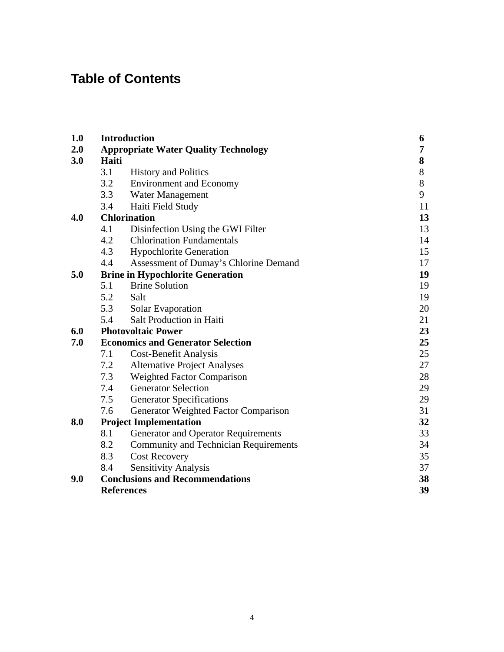## **Table of Contents**

| 1.0 | <b>Introduction</b><br>6                 |                                              |       |  |  |
|-----|------------------------------------------|----------------------------------------------|-------|--|--|
| 2.0 |                                          | <b>Appropriate Water Quality Technology</b>  | 7     |  |  |
| 3.0 | Haiti                                    | 8                                            |       |  |  |
|     | 3.1                                      | <b>History and Politics</b>                  | 8     |  |  |
|     | 3.2                                      | <b>Environment and Economy</b>               | $8\,$ |  |  |
|     | 3.3                                      | Water Management                             | 9     |  |  |
|     | 3.4                                      | Haiti Field Study                            | 11    |  |  |
| 4.0 |                                          | <b>Chlorination</b>                          |       |  |  |
|     | 4.1                                      | Disinfection Using the GWI Filter            | 13    |  |  |
|     | 4.2                                      | <b>Chlorination Fundamentals</b>             | 14    |  |  |
|     | 4.3                                      | <b>Hypochlorite Generation</b>               | 15    |  |  |
|     | 4.4                                      | Assessment of Dumay's Chlorine Demand        | 17    |  |  |
| 5.0 |                                          | <b>Brine in Hypochlorite Generation</b>      | 19    |  |  |
|     | 5.1                                      | <b>Brine Solution</b>                        | 19    |  |  |
|     | 5.2                                      | Salt                                         | 19    |  |  |
|     | 5.3                                      | Solar Evaporation                            | 20    |  |  |
|     | 5.4                                      | Salt Production in Haiti                     | 21    |  |  |
| 6.0 |                                          | <b>Photovoltaic Power</b>                    | 23    |  |  |
| 7.0 | <b>Economics and Generator Selection</b> | 25                                           |       |  |  |
|     | 7.1                                      | <b>Cost-Benefit Analysis</b>                 | 25    |  |  |
|     | 7.2                                      | <b>Alternative Project Analyses</b>          | 27    |  |  |
|     | 7.3                                      | <b>Weighted Factor Comparison</b>            | 28    |  |  |
|     | 7.4                                      | <b>Generator Selection</b>                   | 29    |  |  |
|     | 7.5                                      | <b>Generator Specifications</b>              | 29    |  |  |
|     | 7.6                                      | Generator Weighted Factor Comparison         | 31    |  |  |
| 8.0 |                                          | <b>Project Implementation</b>                | 32    |  |  |
|     | 8.1                                      | <b>Generator and Operator Requirements</b>   | 33    |  |  |
|     | 8.2                                      | <b>Community and Technician Requirements</b> | 34    |  |  |
|     | 8.3                                      | <b>Cost Recovery</b>                         | 35    |  |  |
|     | 8.4                                      | <b>Sensitivity Analysis</b>                  | 37    |  |  |
| 9.0 |                                          | <b>Conclusions and Recommendations</b>       | 38    |  |  |
|     |                                          | <b>References</b>                            | 39    |  |  |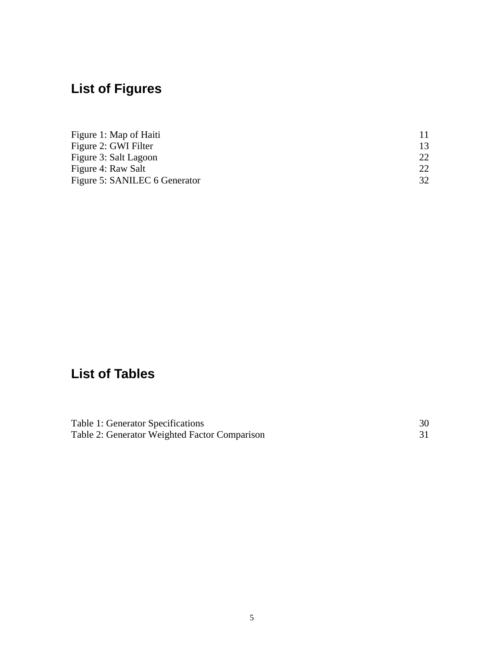# **List of Figures**

| Figure 1: Map of Haiti        |                 |
|-------------------------------|-----------------|
| Figure 2: GWI Filter          |                 |
| Figure 3: Salt Lagoon         |                 |
| Figure 4: Raw Salt            | 22 <sub>1</sub> |
| Figure 5: SANILEC 6 Generator |                 |

## **List of Tables**

| Table 1: Generator Specifications             |  |
|-----------------------------------------------|--|
| Table 2: Generator Weighted Factor Comparison |  |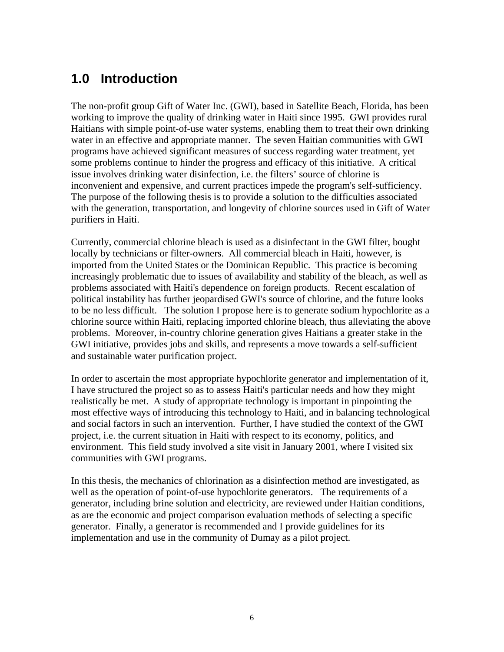## **1.0 Introduction**

The non-profit group Gift of Water Inc. (GWI), based in Satellite Beach, Florida, has been working to improve the quality of drinking water in Haiti since 1995. GWI provides rural Haitians with simple point-of-use water systems, enabling them to treat their own drinking water in an effective and appropriate manner. The seven Haitian communities with GWI programs have achieved significant measures of success regarding water treatment, yet some problems continue to hinder the progress and efficacy of this initiative. A critical issue involves drinking water disinfection, i.e. the filters' source of chlorine is inconvenient and expensive, and current practices impede the program's self-sufficiency. The purpose of the following thesis is to provide a solution to the difficulties associated with the generation, transportation, and longevity of chlorine sources used in Gift of Water purifiers in Haiti.

Currently, commercial chlorine bleach is used as a disinfectant in the GWI filter, bought locally by technicians or filter-owners. All commercial bleach in Haiti, however, is imported from the United States or the Dominican Republic. This practice is becoming increasingly problematic due to issues of availability and stability of the bleach, as well as problems associated with Haiti's dependence on foreign products. Recent escalation of political instability has further jeopardised GWI's source of chlorine, and the future looks to be no less difficult. The solution I propose here is to generate sodium hypochlorite as a chlorine source within Haiti, replacing imported chlorine bleach, thus alleviating the above problems. Moreover, in-country chlorine generation gives Haitians a greater stake in the GWI initiative, provides jobs and skills, and represents a move towards a self-sufficient and sustainable water purification project.

In order to ascertain the most appropriate hypochlorite generator and implementation of it, I have structured the project so as to assess Haiti's particular needs and how they might realistically be met. A study of appropriate technology is important in pinpointing the most effective ways of introducing this technology to Haiti, and in balancing technological and social factors in such an intervention. Further, I have studied the context of the GWI project, i.e. the current situation in Haiti with respect to its economy, politics, and environment. This field study involved a site visit in January 2001, where I visited six communities with GWI programs.

In this thesis, the mechanics of chlorination as a disinfection method are investigated, as well as the operation of point-of-use hypochlorite generators. The requirements of a generator, including brine solution and electricity, are reviewed under Haitian conditions, as are the economic and project comparison evaluation methods of selecting a specific generator. Finally, a generator is recommended and I provide guidelines for its implementation and use in the community of Dumay as a pilot project.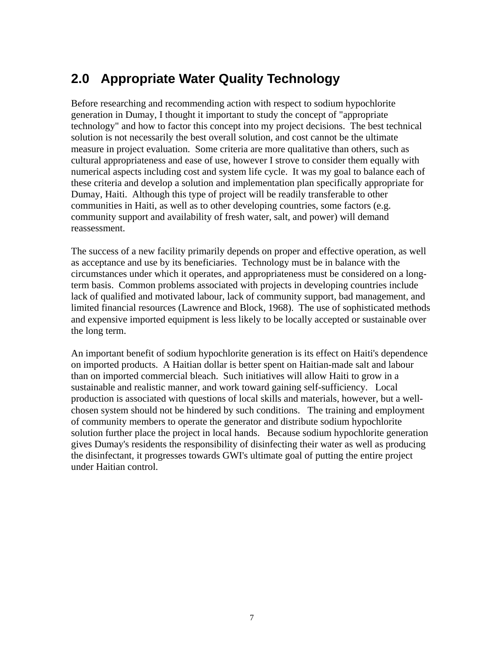## **2.0 Appropriate Water Quality Technology**

Before researching and recommending action with respect to sodium hypochlorite generation in Dumay, I thought it important to study the concept of "appropriate technology" and how to factor this concept into my project decisions. The best technical solution is not necessarily the best overall solution, and cost cannot be the ultimate measure in project evaluation. Some criteria are more qualitative than others, such as cultural appropriateness and ease of use, however I strove to consider them equally with numerical aspects including cost and system life cycle. It was my goal to balance each of these criteria and develop a solution and implementation plan specifically appropriate for Dumay, Haiti. Although this type of project will be readily transferable to other communities in Haiti, as well as to other developing countries, some factors (e.g. community support and availability of fresh water, salt, and power) will demand reassessment.

The success of a new facility primarily depends on proper and effective operation, as well as acceptance and use by its beneficiaries. Technology must be in balance with the circumstances under which it operates, and appropriateness must be considered on a longterm basis. Common problems associated with projects in developing countries include lack of qualified and motivated labour, lack of community support, bad management, and limited financial resources (Lawrence and Block, 1968). The use of sophisticated methods and expensive imported equipment is less likely to be locally accepted or sustainable over the long term.

An important benefit of sodium hypochlorite generation is its effect on Haiti's dependence on imported products. A Haitian dollar is better spent on Haitian-made salt and labour than on imported commercial bleach. Such initiatives will allow Haiti to grow in a sustainable and realistic manner, and work toward gaining self-sufficiency. Local production is associated with questions of local skills and materials, however, but a wellchosen system should not be hindered by such conditions. The training and employment of community members to operate the generator and distribute sodium hypochlorite solution further place the project in local hands. Because sodium hypochlorite generation gives Dumay's residents the responsibility of disinfecting their water as well as producing the disinfectant, it progresses towards GWI's ultimate goal of putting the entire project under Haitian control.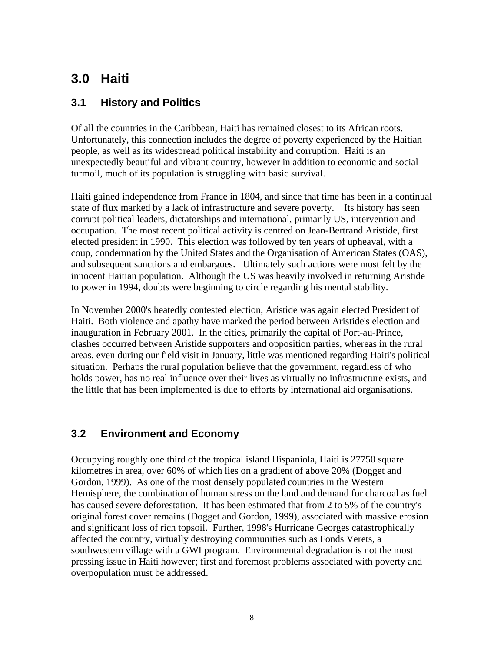## **3.0 Haiti**

## **3.1 History and Politics**

Of all the countries in the Caribbean, Haiti has remained closest to its African roots. Unfortunately, this connection includes the degree of poverty experienced by the Haitian people, as well as its widespread political instability and corruption. Haiti is an unexpectedly beautiful and vibrant country, however in addition to economic and social turmoil, much of its population is struggling with basic survival.

Haiti gained independence from France in 1804, and since that time has been in a continual state of flux marked by a lack of infrastructure and severe poverty. Its history has seen corrupt political leaders, dictatorships and international, primarily US, intervention and occupation. The most recent political activity is centred on Jean-Bertrand Aristide, first elected president in 1990. This election was followed by ten years of upheaval, with a coup, condemnation by the United States and the Organisation of American States (OAS), and subsequent sanctions and embargoes. Ultimately such actions were most felt by the innocent Haitian population. Although the US was heavily involved in returning Aristide to power in 1994, doubts were beginning to circle regarding his mental stability.

In November 2000's heatedly contested election, Aristide was again elected President of Haiti. Both violence and apathy have marked the period between Aristide's election and inauguration in February 2001. In the cities, primarily the capital of Port-au-Prince, clashes occurred between Aristide supporters and opposition parties, whereas in the rural areas, even during our field visit in January, little was mentioned regarding Haiti's political situation. Perhaps the rural population believe that the government, regardless of who holds power, has no real influence over their lives as virtually no infrastructure exists, and the little that has been implemented is due to efforts by international aid organisations.

### **3.2 Environment and Economy**

Occupying roughly one third of the tropical island Hispaniola, Haiti is 27750 square kilometres in area, over 60% of which lies on a gradient of above 20% (Dogget and Gordon, 1999). As one of the most densely populated countries in the Western Hemisphere, the combination of human stress on the land and demand for charcoal as fuel has caused severe deforestation. It has been estimated that from 2 to 5% of the country's original forest cover remains (Dogget and Gordon, 1999), associated with massive erosion and significant loss of rich topsoil. Further, 1998's Hurricane Georges catastrophically affected the country, virtually destroying communities such as Fonds Verets, a southwestern village with a GWI program. Environmental degradation is not the most pressing issue in Haiti however; first and foremost problems associated with poverty and overpopulation must be addressed.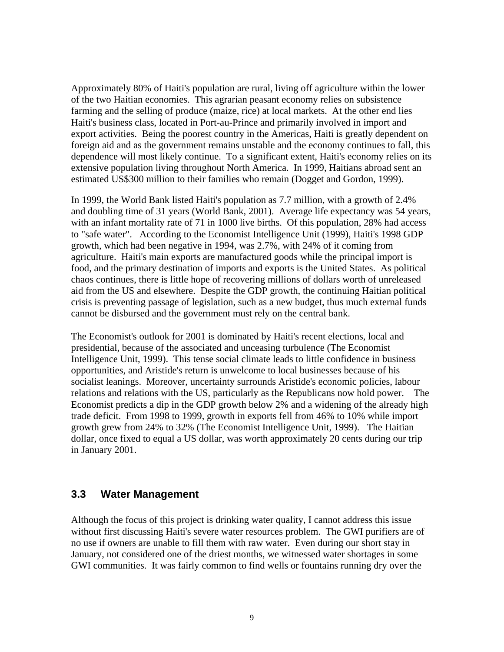Approximately 80% of Haiti's population are rural, living off agriculture within the lower of the two Haitian economies. This agrarian peasant economy relies on subsistence farming and the selling of produce (maize, rice) at local markets. At the other end lies Haiti's business class, located in Port-au-Prince and primarily involved in import and export activities. Being the poorest country in the Americas, Haiti is greatly dependent on foreign aid and as the government remains unstable and the economy continues to fall, this dependence will most likely continue. To a significant extent, Haiti's economy relies on its extensive population living throughout North America. In 1999, Haitians abroad sent an estimated US\$300 million to their families who remain (Dogget and Gordon, 1999).

In 1999, the World Bank listed Haiti's population as 7.7 million, with a growth of 2.4% and doubling time of 31 years (World Bank, 2001). Average life expectancy was 54 years, with an infant mortality rate of 71 in 1000 live births. Of this population, 28% had access to "safe water". According to the Economist Intelligence Unit (1999), Haiti's 1998 GDP growth, which had been negative in 1994, was 2.7%, with 24% of it coming from agriculture. Haiti's main exports are manufactured goods while the principal import is food, and the primary destination of imports and exports is the United States. As political chaos continues, there is little hope of recovering millions of dollars worth of unreleased aid from the US and elsewhere. Despite the GDP growth, the continuing Haitian political crisis is preventing passage of legislation, such as a new budget, thus much external funds cannot be disbursed and the government must rely on the central bank.

The Economist's outlook for 2001 is dominated by Haiti's recent elections, local and presidential, because of the associated and unceasing turbulence (The Economist Intelligence Unit, 1999). This tense social climate leads to little confidence in business opportunities, and Aristide's return is unwelcome to local businesses because of his socialist leanings. Moreover, uncertainty surrounds Aristide's economic policies, labour relations and relations with the US, particularly as the Republicans now hold power. The Economist predicts a dip in the GDP growth below 2% and a widening of the already high trade deficit. From 1998 to 1999, growth in exports fell from 46% to 10% while import growth grew from 24% to 32% (The Economist Intelligence Unit, 1999). The Haitian dollar, once fixed to equal a US dollar, was worth approximately 20 cents during our trip in January 2001.

#### **3.3 Water Management**

Although the focus of this project is drinking water quality, I cannot address this issue without first discussing Haiti's severe water resources problem. The GWI purifiers are of no use if owners are unable to fill them with raw water. Even during our short stay in January, not considered one of the driest months, we witnessed water shortages in some GWI communities. It was fairly common to find wells or fountains running dry over the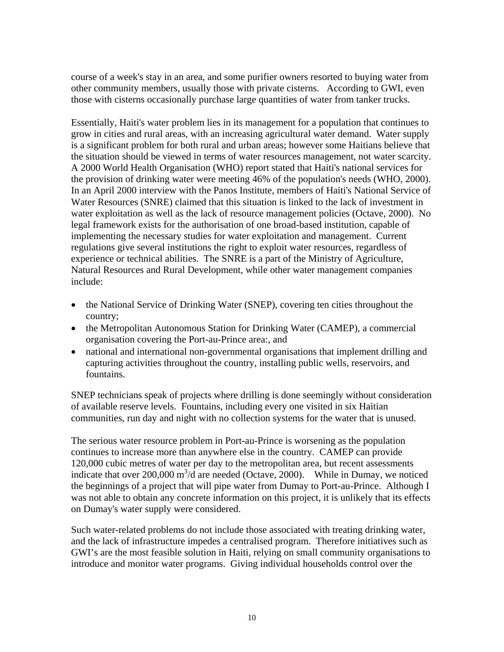course of a week's stay in an area, and some purifier owners resorted to buying water from other community members, usually those with private cisterns. According to GWI, even those with cisterns occasionally purchase large quantities of water from tanker trucks.

Essentially, Haiti's water problem lies in its management for a population that continues to grow in cities and rural areas, with an increasing agricultural water demand. Water supply is a significant problem for both rural and urban areas; however some Haitians believe that the situation should be viewed in terms of water resources management, not water scarcity. A 2000 World Health Organisation (WHO) report stated that Haiti's national services for the provision of drinking water were meeting 46% of the population's needs (WHO, 2000). In an April 2000 interview with the Panos Institute, members of Haiti's National Service of Water Resources (SNRE) claimed that this situation is linked to the lack of investment in water exploitation as well as the lack of resource management policies (Octave, 2000). No legal framework exists for the authorisation of one broad-based institution, capable of implementing the necessary studies for water exploitation and management. Current regulations give several institutions the right to exploit water resources, regardless of experience or technical abilities. The SNRE is a part of the Ministry of Agriculture, Natural Resources and Rural Development, while other water management companies include:

- the National Service of Drinking Water (SNEP), covering ten cities throughout the country;
- the Metropolitan Autonomous Station for Drinking Water (CAMEP), a commercial organisation covering the Port-au-Prince area:, and
- national and international non-governmental organisations that implement drilling and capturing activities throughout the country, installing public wells, reservoirs, and fountains.

SNEP technicians speak of projects where drilling is done seemingly without consideration of available reserve levels. Fountains, including every one visited in six Haitian communities, run day and night with no collection systems for the water that is unused.

The serious water resource problem in Port-au-Prince is worsening as the population continues to increase more than anywhere else in the country. CAMEP can provide 120,000 cubic metres of water per day to the metropolitan area, but recent assessments indicate that over 200,000  $m^3/d$  are needed (Octave, 2000). While in Dumay, we noticed the beginnings of a project that will pipe water from Dumay to Port-au-Prince. Although I was not able to obtain any concrete information on this project, it is unlikely that its effects on Dumay's water supply were considered.

Such water-related problems do not include those associated with treating drinking water, and the lack of infrastructure impedes a centralised program. Therefore initiatives such as GWI's are the most feasible solution in Haiti, relying on small community organisations to introduce and monitor water programs. Giving individual households control over the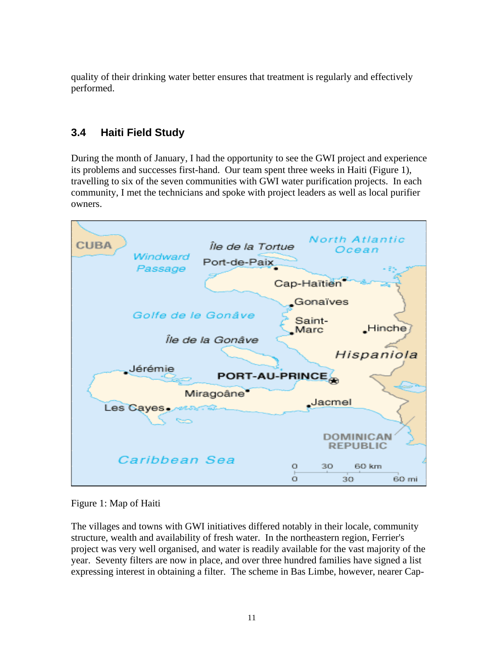quality of their drinking water better ensures that treatment is regularly and effectively performed.

## **3.4 Haiti Field Study**

During the month of January, I had the opportunity to see the GWI project and experience its problems and successes first-hand. Our team spent three weeks in Haiti (Figure 1), travelling to six of the seven communities with GWI water purification projects. In each community, I met the technicians and spoke with project leaders as well as local purifier owners.



Figure 1: Map of Haiti

The villages and towns with GWI initiatives differed notably in their locale, community structure, wealth and availability of fresh water. In the northeastern region, Ferrier's project was very well organised, and water is readily available for the vast majority of the year. Seventy filters are now in place, and over three hundred families have signed a list expressing interest in obtaining a filter. The scheme in Bas Limbe, however, nearer Cap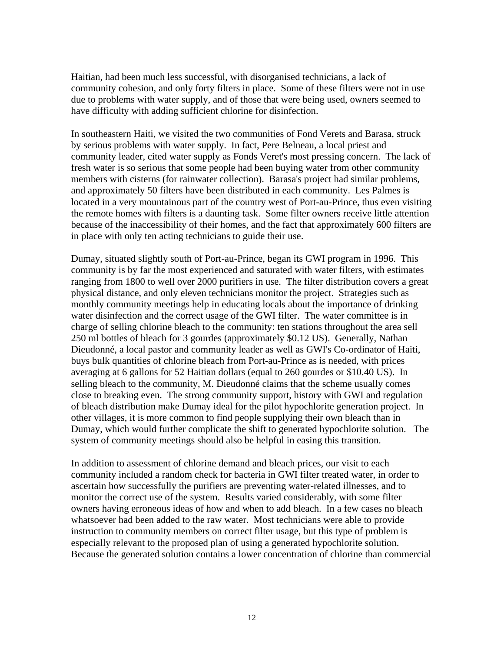Haitian, had been much less successful, with disorganised technicians, a lack of community cohesion, and only forty filters in place. Some of these filters were not in use due to problems with water supply, and of those that were being used, owners seemed to have difficulty with adding sufficient chlorine for disinfection.

In southeastern Haiti, we visited the two communities of Fond Verets and Barasa, struck by serious problems with water supply. In fact, Pere Belneau, a local priest and community leader, cited water supply as Fonds Veret's most pressing concern. The lack of fresh water is so serious that some people had been buying water from other community members with cisterns (for rainwater collection). Barasa's project had similar problems, and approximately 50 filters have been distributed in each community. Les Palmes is located in a very mountainous part of the country west of Port-au-Prince, thus even visiting the remote homes with filters is a daunting task. Some filter owners receive little attention because of the inaccessibility of their homes, and the fact that approximately 600 filters are in place with only ten acting technicians to guide their use.

Dumay, situated slightly south of Port-au-Prince, began its GWI program in 1996. This community is by far the most experienced and saturated with water filters, with estimates ranging from 1800 to well over 2000 purifiers in use. The filter distribution covers a great physical distance, and only eleven technicians monitor the project. Strategies such as monthly community meetings help in educating locals about the importance of drinking water disinfection and the correct usage of the GWI filter. The water committee is in charge of selling chlorine bleach to the community: ten stations throughout the area sell 250 ml bottles of bleach for 3 gourdes (approximately \$0.12 US). Generally, Nathan Dieudonné, a local pastor and community leader as well as GWI's Co-ordinator of Haiti, buys bulk quantities of chlorine bleach from Port-au-Prince as is needed, with prices averaging at 6 gallons for 52 Haitian dollars (equal to 260 gourdes or \$10.40 US). In selling bleach to the community, M. Dieudonné claims that the scheme usually comes close to breaking even. The strong community support, history with GWI and regulation of bleach distribution make Dumay ideal for the pilot hypochlorite generation project. In other villages, it is more common to find people supplying their own bleach than in Dumay, which would further complicate the shift to generated hypochlorite solution. The system of community meetings should also be helpful in easing this transition.

In addition to assessment of chlorine demand and bleach prices, our visit to each community included a random check for bacteria in GWI filter treated water, in order to ascertain how successfully the purifiers are preventing water-related illnesses, and to monitor the correct use of the system. Results varied considerably, with some filter owners having erroneous ideas of how and when to add bleach. In a few cases no bleach whatsoever had been added to the raw water. Most technicians were able to provide instruction to community members on correct filter usage, but this type of problem is especially relevant to the proposed plan of using a generated hypochlorite solution. Because the generated solution contains a lower concentration of chlorine than commercial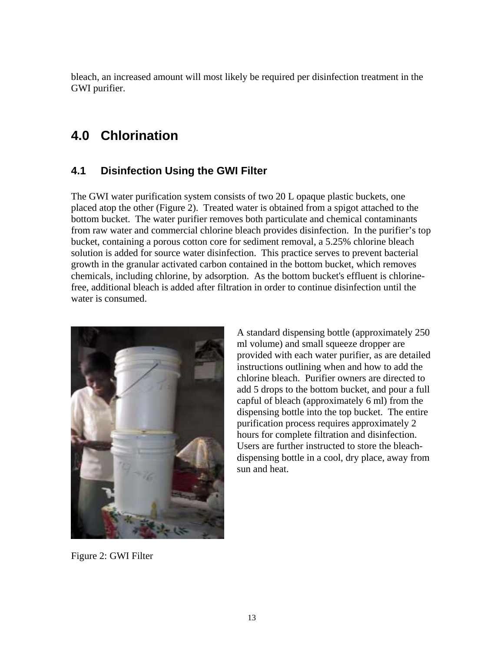bleach, an increased amount will most likely be required per disinfection treatment in the GWI purifier.

## **4.0 Chlorination**

## **4.1 Disinfection Using the GWI Filter**

The GWI water purification system consists of two 20 L opaque plastic buckets, one placed atop the other (Figure 2). Treated water is obtained from a spigot attached to the bottom bucket. The water purifier removes both particulate and chemical contaminants from raw water and commercial chlorine bleach provides disinfection. In the purifier's top bucket, containing a porous cotton core for sediment removal, a 5.25% chlorine bleach solution is added for source water disinfection. This practice serves to prevent bacterial growth in the granular activated carbon contained in the bottom bucket, which removes chemicals, including chlorine, by adsorption. As the bottom bucket's effluent is chlorinefree, additional bleach is added after filtration in order to continue disinfection until the water is consumed.



A standard dispensing bottle (approximately 250 ml volume) and small squeeze dropper are provided with each water purifier, as are detailed instructions outlining when and how to add the chlorine bleach. Purifier owners are directed to add 5 drops to the bottom bucket, and pour a full capful of bleach (approximately 6 ml) from the dispensing bottle into the top bucket. The entire purification process requires approximately 2 hours for complete filtration and disinfection. Users are further instructed to store the bleachdispensing bottle in a cool, dry place, away from sun and heat.

Figure 2: GWI Filter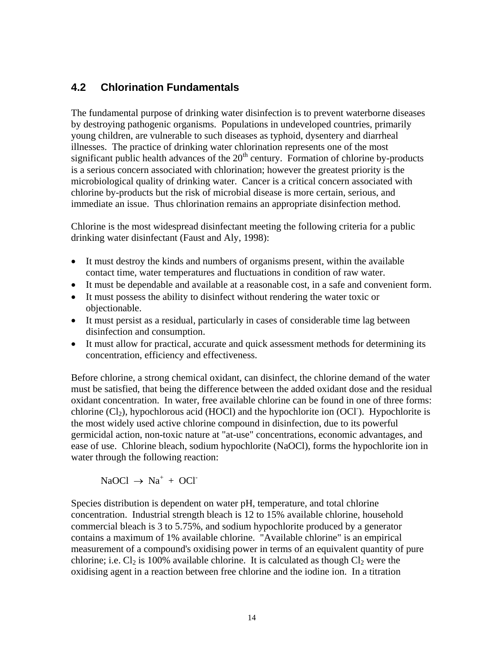### **4.2 Chlorination Fundamentals**

The fundamental purpose of drinking water disinfection is to prevent waterborne diseases by destroying pathogenic organisms. Populations in undeveloped countries, primarily young children, are vulnerable to such diseases as typhoid, dysentery and diarrheal illnesses. The practice of drinking water chlorination represents one of the most significant public health advances of the  $20<sup>th</sup>$  century. Formation of chlorine by-products is a serious concern associated with chlorination; however the greatest priority is the microbiological quality of drinking water. Cancer is a critical concern associated with chlorine by-products but the risk of microbial disease is more certain, serious, and immediate an issue. Thus chlorination remains an appropriate disinfection method.

Chlorine is the most widespread disinfectant meeting the following criteria for a public drinking water disinfectant (Faust and Aly, 1998):

- It must destroy the kinds and numbers of organisms present, within the available contact time, water temperatures and fluctuations in condition of raw water.
- It must be dependable and available at a reasonable cost, in a safe and convenient form.
- It must possess the ability to disinfect without rendering the water toxic or objectionable.
- It must persist as a residual, particularly in cases of considerable time lag between disinfection and consumption.
- It must allow for practical, accurate and quick assessment methods for determining its concentration, efficiency and effectiveness.

Before chlorine, a strong chemical oxidant, can disinfect, the chlorine demand of the water must be satisfied, that being the difference between the added oxidant dose and the residual oxidant concentration. In water, free available chlorine can be found in one of three forms: chlorine  $(Cl<sub>2</sub>)$ , hypochlorous acid (HOCl) and the hypochlorite ion (OCl). Hypochlorite is the most widely used active chlorine compound in disinfection, due to its powerful germicidal action, non-toxic nature at "at-use" concentrations, economic advantages, and ease of use. Chlorine bleach, sodium hypochlorite (NaOCl), forms the hypochlorite ion in water through the following reaction:

 $NaOCl \rightarrow Na^{+} + OCl^{-}$ 

Species distribution is dependent on water pH, temperature, and total chlorine concentration. Industrial strength bleach is 12 to 15% available chlorine, household commercial bleach is 3 to 5.75%, and sodium hypochlorite produced by a generator contains a maximum of 1% available chlorine. "Available chlorine" is an empirical measurement of a compound's oxidising power in terms of an equivalent quantity of pure chlorine; i.e.  $Cl_2$  is 100% available chlorine. It is calculated as though  $Cl_2$  were the oxidising agent in a reaction between free chlorine and the iodine ion. In a titration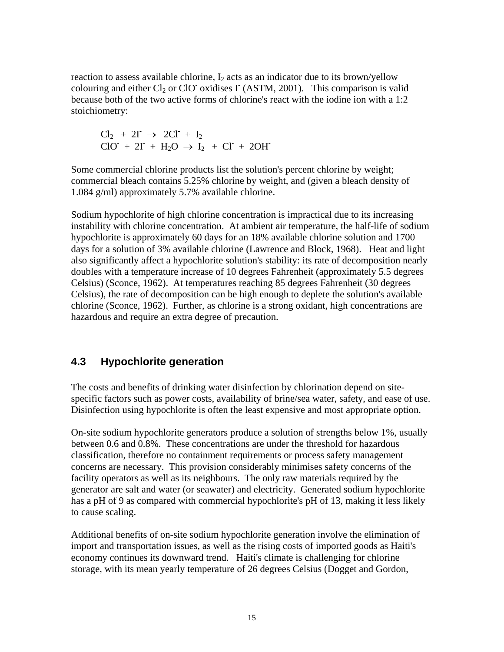reaction to assess available chlorine,  $I_2$  acts as an indicator due to its brown/yellow colouring and either  $Cl_2$  or ClO<sup>-</sup> oxidises  $\Gamma$  (ASTM, 2001). This comparison is valid because both of the two active forms of chlorine's react with the iodine ion with a 1:2 stoichiometry:

 $Cl_2 + 2I \rightarrow 2Cl^+ + I_2$  $ClO^- + 2I^- + H_2O \rightarrow I_2 + Cl^- + 2OH^-$ 

Some commercial chlorine products list the solution's percent chlorine by weight; commercial bleach contains 5.25% chlorine by weight, and (given a bleach density of 1.084 g/ml) approximately 5.7% available chlorine.

Sodium hypochlorite of high chlorine concentration is impractical due to its increasing instability with chlorine concentration. At ambient air temperature, the half-life of sodium hypochlorite is approximately 60 days for an 18% available chlorine solution and 1700 days for a solution of 3% available chlorine (Lawrence and Block, 1968). Heat and light also significantly affect a hypochlorite solution's stability: its rate of decomposition nearly doubles with a temperature increase of 10 degrees Fahrenheit (approximately 5.5 degrees Celsius) (Sconce, 1962). At temperatures reaching 85 degrees Fahrenheit (30 degrees Celsius), the rate of decomposition can be high enough to deplete the solution's available chlorine (Sconce, 1962). Further, as chlorine is a strong oxidant, high concentrations are hazardous and require an extra degree of precaution.

### **4.3 Hypochlorite generation**

The costs and benefits of drinking water disinfection by chlorination depend on sitespecific factors such as power costs, availability of brine/sea water, safety, and ease of use. Disinfection using hypochlorite is often the least expensive and most appropriate option.

On-site sodium hypochlorite generators produce a solution of strengths below 1%, usually between 0.6 and 0.8%. These concentrations are under the threshold for hazardous classification, therefore no containment requirements or process safety management concerns are necessary. This provision considerably minimises safety concerns of the facility operators as well as its neighbours. The only raw materials required by the generator are salt and water (or seawater) and electricity. Generated sodium hypochlorite has a pH of 9 as compared with commercial hypochlorite's pH of 13, making it less likely to cause scaling.

Additional benefits of on-site sodium hypochlorite generation involve the elimination of import and transportation issues, as well as the rising costs of imported goods as Haiti's economy continues its downward trend. Haiti's climate is challenging for chlorine storage, with its mean yearly temperature of 26 degrees Celsius (Dogget and Gordon,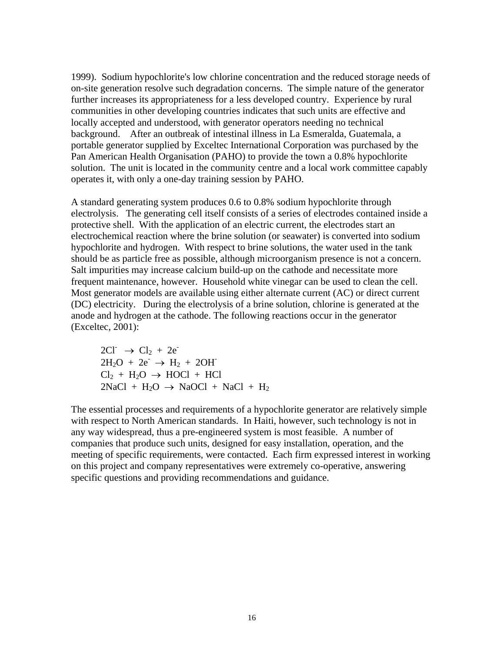1999). Sodium hypochlorite's low chlorine concentration and the reduced storage needs of on-site generation resolve such degradation concerns. The simple nature of the generator further increases its appropriateness for a less developed country. Experience by rural communities in other developing countries indicates that such units are effective and locally accepted and understood, with generator operators needing no technical background. After an outbreak of intestinal illness in La Esmeralda, Guatemala, a portable generator supplied by Exceltec International Corporation was purchased by the Pan American Health Organisation (PAHO) to provide the town a 0.8% hypochlorite solution. The unit is located in the community centre and a local work committee capably operates it, with only a one-day training session by PAHO.

A standard generating system produces 0.6 to 0.8% sodium hypochlorite through electrolysis. The generating cell itself consists of a series of electrodes contained inside a protective shell. With the application of an electric current, the electrodes start an electrochemical reaction where the brine solution (or seawater) is converted into sodium hypochlorite and hydrogen. With respect to brine solutions, the water used in the tank should be as particle free as possible, although microorganism presence is not a concern. Salt impurities may increase calcium build-up on the cathode and necessitate more frequent maintenance, however. Household white vinegar can be used to clean the cell. Most generator models are available using either alternate current (AC) or direct current (DC) electricity. During the electrolysis of a brine solution, chlorine is generated at the anode and hydrogen at the cathode. The following reactions occur in the generator (Exceltec, 2001):

 $2Cl^{-} \rightarrow Cl_{2} + 2e^{-}$  $2H_2O + 2e^- \rightarrow H_2 + 2OH^ Cl_2 + H_2O \rightarrow HOCl + HCl$  $2NaCl + H<sub>2</sub>O \rightarrow NaOCl + NaCl + H<sub>2</sub>$ 

The essential processes and requirements of a hypochlorite generator are relatively simple with respect to North American standards. In Haiti, however, such technology is not in any way widespread, thus a pre-engineered system is most feasible. A number of companies that produce such units, designed for easy installation, operation, and the meeting of specific requirements, were contacted. Each firm expressed interest in working on this project and company representatives were extremely co-operative, answering specific questions and providing recommendations and guidance.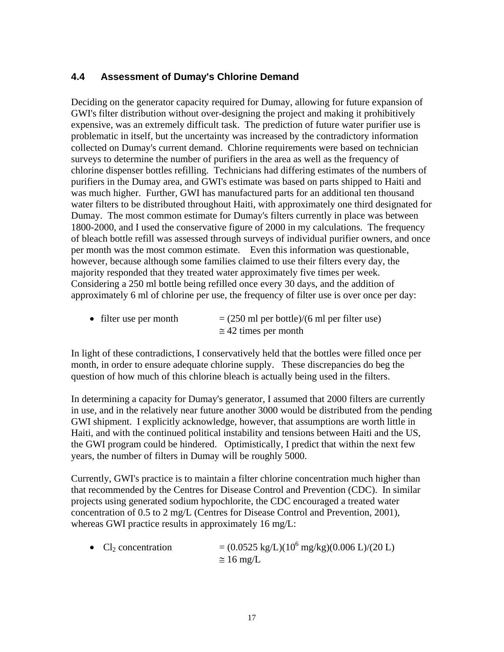#### **4.4 Assessment of Dumay's Chlorine Demand**

Deciding on the generator capacity required for Dumay, allowing for future expansion of GWI's filter distribution without over-designing the project and making it prohibitively expensive, was an extremely difficult task. The prediction of future water purifier use is problematic in itself, but the uncertainty was increased by the contradictory information collected on Dumay's current demand. Chlorine requirements were based on technician surveys to determine the number of purifiers in the area as well as the frequency of chlorine dispenser bottles refilling. Technicians had differing estimates of the numbers of purifiers in the Dumay area, and GWI's estimate was based on parts shipped to Haiti and was much higher. Further, GWI has manufactured parts for an additional ten thousand water filters to be distributed throughout Haiti, with approximately one third designated for Dumay. The most common estimate for Dumay's filters currently in place was between 1800-2000, and I used the conservative figure of 2000 in my calculations. The frequency of bleach bottle refill was assessed through surveys of individual purifier owners, and once per month was the most common estimate. Even this information was questionable, however, because although some families claimed to use their filters every day, the majority responded that they treated water approximately five times per week. Considering a 250 ml bottle being refilled once every 30 days, and the addition of approximately 6 ml of chlorine per use, the frequency of filter use is over once per day:

• filter use per month  $= (250 \text{ ml per bottle})/(6 \text{ ml per filter use})$  $\approx$  42 times per month

In light of these contradictions, I conservatively held that the bottles were filled once per month, in order to ensure adequate chlorine supply. These discrepancies do beg the question of how much of this chlorine bleach is actually being used in the filters.

In determining a capacity for Dumay's generator, I assumed that 2000 filters are currently in use, and in the relatively near future another 3000 would be distributed from the pending GWI shipment. I explicitly acknowledge, however, that assumptions are worth little in Haiti, and with the continued political instability and tensions between Haiti and the US, the GWI program could be hindered. Optimistically, I predict that within the next few years, the number of filters in Dumay will be roughly 5000.

Currently, GWI's practice is to maintain a filter chlorine concentration much higher than that recommended by the Centres for Disease Control and Prevention (CDC). In similar projects using generated sodium hypochlorite, the CDC encouraged a treated water concentration of 0.5 to 2 mg/L (Centres for Disease Control and Prevention, 2001), whereas GWI practice results in approximately 16 mg/L:

• Cl<sub>2</sub> concentration  $= (0.0525 \text{ kg/L}) (10^6 \text{ mg/kg}) (0.006 \text{ L}) / (20 \text{ L})$  $\approx$  16 mg/L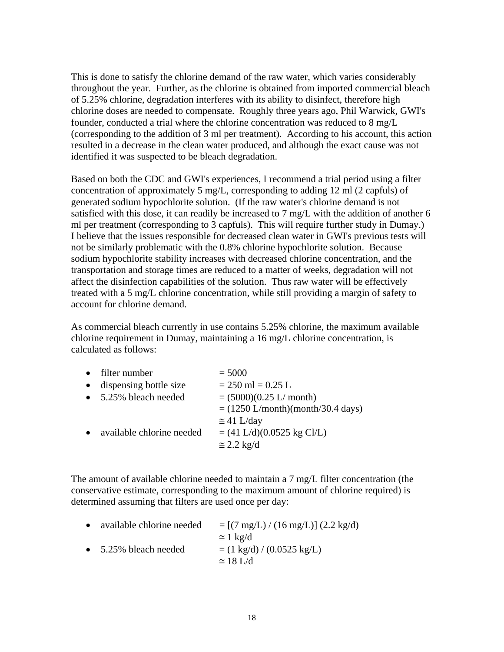This is done to satisfy the chlorine demand of the raw water, which varies considerably throughout the year. Further, as the chlorine is obtained from imported commercial bleach of 5.25% chlorine, degradation interferes with its ability to disinfect, therefore high chlorine doses are needed to compensate. Roughly three years ago, Phil Warwick, GWI's founder, conducted a trial where the chlorine concentration was reduced to 8 mg/L (corresponding to the addition of 3 ml per treatment). According to his account, this action resulted in a decrease in the clean water produced, and although the exact cause was not identified it was suspected to be bleach degradation.

Based on both the CDC and GWI's experiences, I recommend a trial period using a filter concentration of approximately 5 mg/L, corresponding to adding 12 ml (2 capfuls) of generated sodium hypochlorite solution. (If the raw water's chlorine demand is not satisfied with this dose, it can readily be increased to 7 mg/L with the addition of another 6 ml per treatment (corresponding to 3 capfuls). This will require further study in Dumay.) I believe that the issues responsible for decreased clean water in GWI's previous tests will not be similarly problematic with the 0.8% chlorine hypochlorite solution. Because sodium hypochlorite stability increases with decreased chlorine concentration, and the transportation and storage times are reduced to a matter of weeks, degradation will not affect the disinfection capabilities of the solution. Thus raw water will be effectively treated with a 5 mg/L chlorine concentration, while still providing a margin of safety to account for chlorine demand.

As commercial bleach currently in use contains 5.25% chlorine, the maximum available chlorine requirement in Dumay, maintaining a 16 mg/L chlorine concentration, is calculated as follows:

| • filter number           | $= 5000$                            |
|---------------------------|-------------------------------------|
| dispensing bottle size    | $= 250$ ml $= 0.25$ L               |
| • 5.25% bleach needed     | $= (5000)(0.25 \text{ L/month})$    |
|                           | $= (1250$ L/month)(month/30.4 days) |
|                           | $\approx$ 41 L/day                  |
| available chlorine needed | $= (41 L/d)(0.0525 kg Cl/L)$        |
|                           | $\approx$ 2.2 kg/d                  |

The amount of available chlorine needed to maintain a 7 mg/L filter concentration (the conservative estimate, corresponding to the maximum amount of chlorine required) is determined assuming that filters are used once per day:

| • available chlorine needed   | $= [(7 \text{ mg/L}) / (16 \text{ mg/L})] (2.2 \text{ kg/d})$ |
|-------------------------------|---------------------------------------------------------------|
|                               | $\approx 1 \text{ kg/d}$                                      |
| $\bullet$ 5.25% bleach needed | $=$ (1 kg/d) / (0.0525 kg/L)                                  |
|                               | $\approx$ 18 L/d                                              |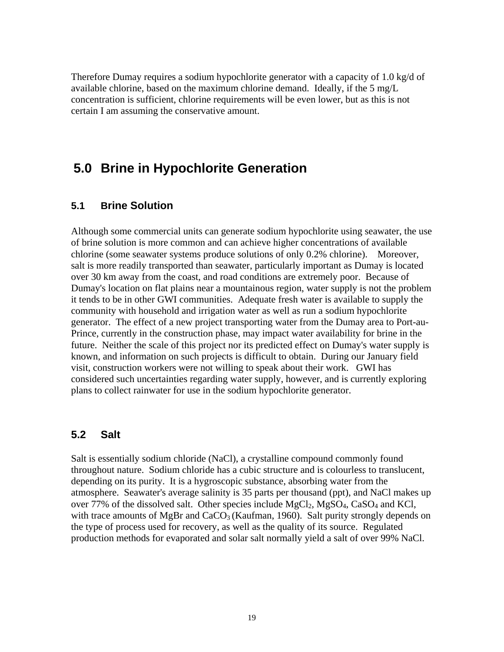Therefore Dumay requires a sodium hypochlorite generator with a capacity of 1.0 kg/d of available chlorine, based on the maximum chlorine demand. Ideally, if the 5 mg/L concentration is sufficient, chlorine requirements will be even lower, but as this is not certain I am assuming the conservative amount.

## **5.0 Brine in Hypochlorite Generation**

#### **5.1 Brine Solution**

Although some commercial units can generate sodium hypochlorite using seawater, the use of brine solution is more common and can achieve higher concentrations of available chlorine (some seawater systems produce solutions of only 0.2% chlorine). Moreover, salt is more readily transported than seawater, particularly important as Dumay is located over 30 km away from the coast, and road conditions are extremely poor. Because of Dumay's location on flat plains near a mountainous region, water supply is not the problem it tends to be in other GWI communities. Adequate fresh water is available to supply the community with household and irrigation water as well as run a sodium hypochlorite generator. The effect of a new project transporting water from the Dumay area to Port-au-Prince, currently in the construction phase, may impact water availability for brine in the future. Neither the scale of this project nor its predicted effect on Dumay's water supply is known, and information on such projects is difficult to obtain. During our January field visit, construction workers were not willing to speak about their work. GWI has considered such uncertainties regarding water supply, however, and is currently exploring plans to collect rainwater for use in the sodium hypochlorite generator.

#### **5.2 Salt**

Salt is essentially sodium chloride (NaCl), a crystalline compound commonly found throughout nature. Sodium chloride has a cubic structure and is colourless to translucent, depending on its purity. It is a hygroscopic substance, absorbing water from the atmosphere. Seawater's average salinity is 35 parts per thousand (ppt), and NaCl makes up over 77% of the dissolved salt. Other species include  $MgCl_2$ ,  $MgSO_4$ , CaSO<sub>4</sub> and KCl, with trace amounts of MgBr and  $CaCO<sub>3</sub>$  (Kaufman, 1960). Salt purity strongly depends on the type of process used for recovery, as well as the quality of its source. Regulated production methods for evaporated and solar salt normally yield a salt of over 99% NaCl.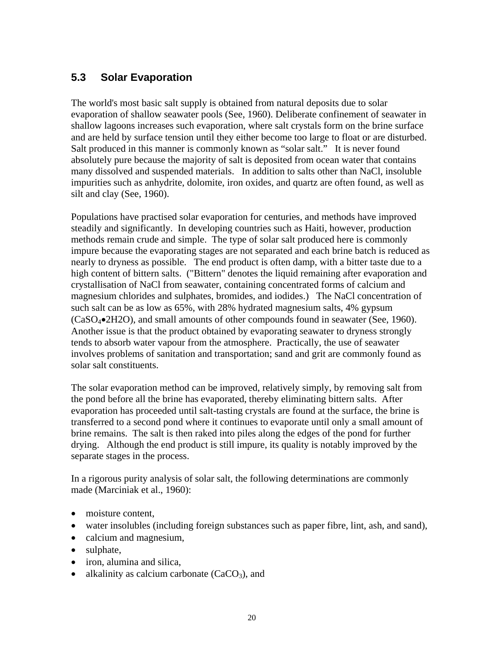## **5.3 Solar Evaporation**

The world's most basic salt supply is obtained from natural deposits due to solar evaporation of shallow seawater pools (See, 1960). Deliberate confinement of seawater in shallow lagoons increases such evaporation, where salt crystals form on the brine surface and are held by surface tension until they either become too large to float or are disturbed. Salt produced in this manner is commonly known as "solar salt." It is never found absolutely pure because the majority of salt is deposited from ocean water that contains many dissolved and suspended materials. In addition to salts other than NaCl, insoluble impurities such as anhydrite, dolomite, iron oxides, and quartz are often found, as well as silt and clay (See, 1960).

Populations have practised solar evaporation for centuries, and methods have improved steadily and significantly. In developing countries such as Haiti, however, production methods remain crude and simple. The type of solar salt produced here is commonly impure because the evaporating stages are not separated and each brine batch is reduced as nearly to dryness as possible. The end product is often damp, with a bitter taste due to a high content of bittern salts. ("Bittern" denotes the liquid remaining after evaporation and crystallisation of NaCl from seawater, containing concentrated forms of calcium and magnesium chlorides and sulphates, bromides, and iodides.) The NaCl concentration of such salt can be as low as 65%, with 28% hydrated magnesium salts, 4% gypsum (CaSO4•2H2O), and small amounts of other compounds found in seawater (See, 1960). Another issue is that the product obtained by evaporating seawater to dryness strongly tends to absorb water vapour from the atmosphere. Practically, the use of seawater involves problems of sanitation and transportation; sand and grit are commonly found as solar salt constituents.

The solar evaporation method can be improved, relatively simply, by removing salt from the pond before all the brine has evaporated, thereby eliminating bittern salts. After evaporation has proceeded until salt-tasting crystals are found at the surface, the brine is transferred to a second pond where it continues to evaporate until only a small amount of brine remains. The salt is then raked into piles along the edges of the pond for further drying. Although the end product is still impure, its quality is notably improved by the separate stages in the process.

In a rigorous purity analysis of solar salt, the following determinations are commonly made (Marciniak et al., 1960):

- moisture content.
- water insolubles (including foreign substances such as paper fibre, lint, ash, and sand),
- calcium and magnesium,
- sulphate,
- iron, alumina and silica,
- alkalinity as calcium carbonate  $(CaCO<sub>3</sub>)$ , and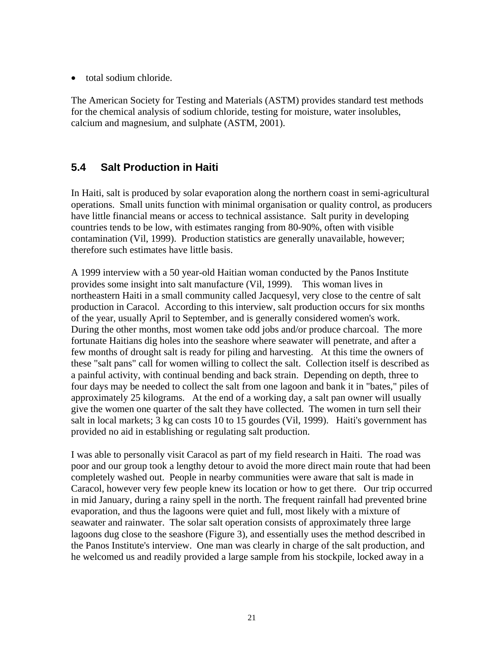• total sodium chloride.

The American Society for Testing and Materials (ASTM) provides standard test methods for the chemical analysis of sodium chloride, testing for moisture, water insolubles, calcium and magnesium, and sulphate (ASTM, 2001).

### **5.4 Salt Production in Haiti**

In Haiti, salt is produced by solar evaporation along the northern coast in semi-agricultural operations. Small units function with minimal organisation or quality control, as producers have little financial means or access to technical assistance. Salt purity in developing countries tends to be low, with estimates ranging from 80-90%, often with visible contamination (Vil, 1999). Production statistics are generally unavailable, however; therefore such estimates have little basis.

A 1999 interview with a 50 year-old Haitian woman conducted by the Panos Institute provides some insight into salt manufacture (Vil, 1999). This woman lives in northeastern Haiti in a small community called Jacquesyl, very close to the centre of salt production in Caracol. According to this interview, salt production occurs for six months of the year, usually April to September, and is generally considered women's work. During the other months, most women take odd jobs and/or produce charcoal. The more fortunate Haitians dig holes into the seashore where seawater will penetrate, and after a few months of drought salt is ready for piling and harvesting. At this time the owners of these "salt pans" call for women willing to collect the salt. Collection itself is described as a painful activity, with continual bending and back strain. Depending on depth, three to four days may be needed to collect the salt from one lagoon and bank it in "bates," piles of approximately 25 kilograms. At the end of a working day, a salt pan owner will usually give the women one quarter of the salt they have collected. The women in turn sell their salt in local markets; 3 kg can costs 10 to 15 gourdes (Vil, 1999). Haiti's government has provided no aid in establishing or regulating salt production.

I was able to personally visit Caracol as part of my field research in Haiti. The road was poor and our group took a lengthy detour to avoid the more direct main route that had been completely washed out. People in nearby communities were aware that salt is made in Caracol, however very few people knew its location or how to get there. Our trip occurred in mid January, during a rainy spell in the north. The frequent rainfall had prevented brine evaporation, and thus the lagoons were quiet and full, most likely with a mixture of seawater and rainwater. The solar salt operation consists of approximately three large lagoons dug close to the seashore (Figure 3), and essentially uses the method described in the Panos Institute's interview. One man was clearly in charge of the salt production, and he welcomed us and readily provided a large sample from his stockpile, locked away in a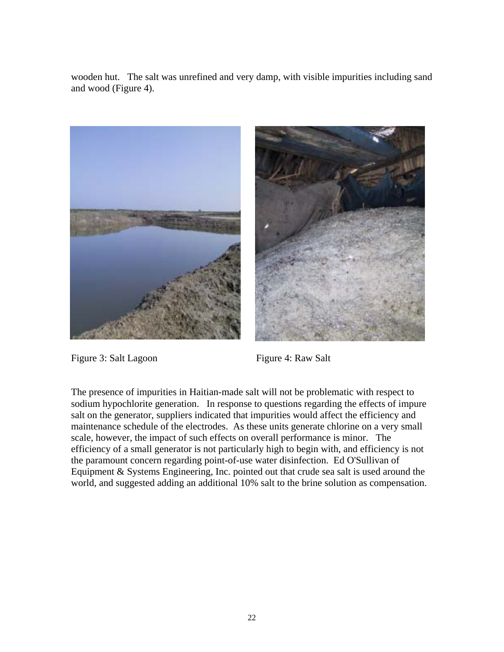wooden hut. The salt was unrefined and very damp, with visible impurities including sand and wood (Figure 4).





Figure 3: Salt Lagoon Figure 4: Raw Salt

The presence of impurities in Haitian-made salt will not be problematic with respect to sodium hypochlorite generation. In response to questions regarding the effects of impure salt on the generator, suppliers indicated that impurities would affect the efficiency and maintenance schedule of the electrodes. As these units generate chlorine on a very small scale, however, the impact of such effects on overall performance is minor. The efficiency of a small generator is not particularly high to begin with, and efficiency is not the paramount concern regarding point-of-use water disinfection. Ed O'Sullivan of Equipment & Systems Engineering, Inc. pointed out that crude sea salt is used around the world, and suggested adding an additional 10% salt to the brine solution as compensation.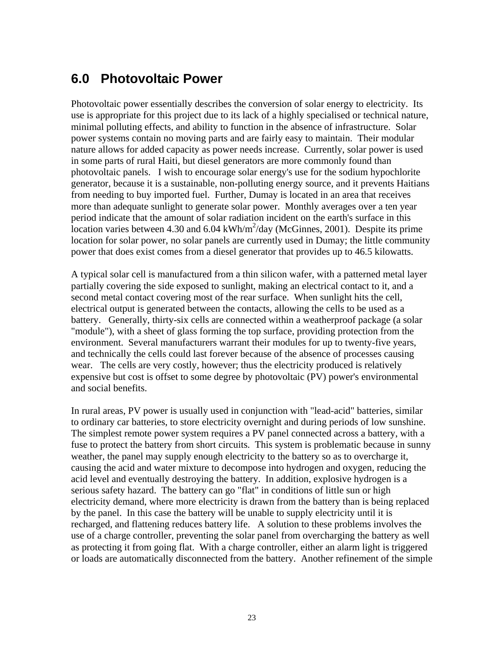## **6.0 Photovoltaic Power**

Photovoltaic power essentially describes the conversion of solar energy to electricity. Its use is appropriate for this project due to its lack of a highly specialised or technical nature, minimal polluting effects, and ability to function in the absence of infrastructure. Solar power systems contain no moving parts and are fairly easy to maintain. Their modular nature allows for added capacity as power needs increase. Currently, solar power is used in some parts of rural Haiti, but diesel generators are more commonly found than photovoltaic panels. I wish to encourage solar energy's use for the sodium hypochlorite generator, because it is a sustainable, non-polluting energy source, and it prevents Haitians from needing to buy imported fuel. Further, Dumay is located in an area that receives more than adequate sunlight to generate solar power. Monthly averages over a ten year period indicate that the amount of solar radiation incident on the earth's surface in this location varies between 4.30 and 6.04 kWh/m<sup>2</sup>/day (McGinnes, 2001). Despite its prime location for solar power, no solar panels are currently used in Dumay; the little community power that does exist comes from a diesel generator that provides up to 46.5 kilowatts.

A typical solar cell is manufactured from a thin silicon wafer, with a patterned metal layer partially covering the side exposed to sunlight, making an electrical contact to it, and a second metal contact covering most of the rear surface. When sunlight hits the cell, electrical output is generated between the contacts, allowing the cells to be used as a battery. Generally, thirty-six cells are connected within a weatherproof package (a solar "module"), with a sheet of glass forming the top surface, providing protection from the environment. Several manufacturers warrant their modules for up to twenty-five years, and technically the cells could last forever because of the absence of processes causing wear. The cells are very costly, however; thus the electricity produced is relatively expensive but cost is offset to some degree by photovoltaic (PV) power's environmental and social benefits.

In rural areas, PV power is usually used in conjunction with "lead-acid" batteries, similar to ordinary car batteries, to store electricity overnight and during periods of low sunshine. The simplest remote power system requires a PV panel connected across a battery, with a fuse to protect the battery from short circuits. This system is problematic because in sunny weather, the panel may supply enough electricity to the battery so as to overcharge it, causing the acid and water mixture to decompose into hydrogen and oxygen, reducing the acid level and eventually destroying the battery. In addition, explosive hydrogen is a serious safety hazard. The battery can go "flat" in conditions of little sun or high electricity demand, where more electricity is drawn from the battery than is being replaced by the panel. In this case the battery will be unable to supply electricity until it is recharged, and flattening reduces battery life. A solution to these problems involves the use of a charge controller, preventing the solar panel from overcharging the battery as well as protecting it from going flat. With a charge controller, either an alarm light is triggered or loads are automatically disconnected from the battery. Another refinement of the simple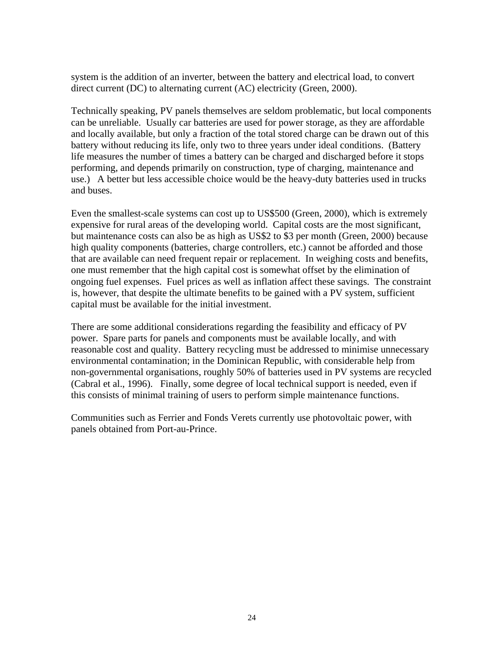system is the addition of an inverter, between the battery and electrical load, to convert direct current (DC) to alternating current (AC) electricity (Green, 2000).

Technically speaking, PV panels themselves are seldom problematic, but local components can be unreliable. Usually car batteries are used for power storage, as they are affordable and locally available, but only a fraction of the total stored charge can be drawn out of this battery without reducing its life, only two to three years under ideal conditions. (Battery life measures the number of times a battery can be charged and discharged before it stops performing, and depends primarily on construction, type of charging, maintenance and use.) A better but less accessible choice would be the heavy-duty batteries used in trucks and buses.

Even the smallest-scale systems can cost up to US\$500 (Green, 2000), which is extremely expensive for rural areas of the developing world. Capital costs are the most significant, but maintenance costs can also be as high as US\$2 to \$3 per month (Green, 2000) because high quality components (batteries, charge controllers, etc.) cannot be afforded and those that are available can need frequent repair or replacement. In weighing costs and benefits, one must remember that the high capital cost is somewhat offset by the elimination of ongoing fuel expenses. Fuel prices as well as inflation affect these savings. The constraint is, however, that despite the ultimate benefits to be gained with a PV system, sufficient capital must be available for the initial investment.

There are some additional considerations regarding the feasibility and efficacy of PV power. Spare parts for panels and components must be available locally, and with reasonable cost and quality. Battery recycling must be addressed to minimise unnecessary environmental contamination; in the Dominican Republic, with considerable help from non-governmental organisations, roughly 50% of batteries used in PV systems are recycled (Cabral et al., 1996). Finally, some degree of local technical support is needed, even if this consists of minimal training of users to perform simple maintenance functions.

Communities such as Ferrier and Fonds Verets currently use photovoltaic power, with panels obtained from Port-au-Prince.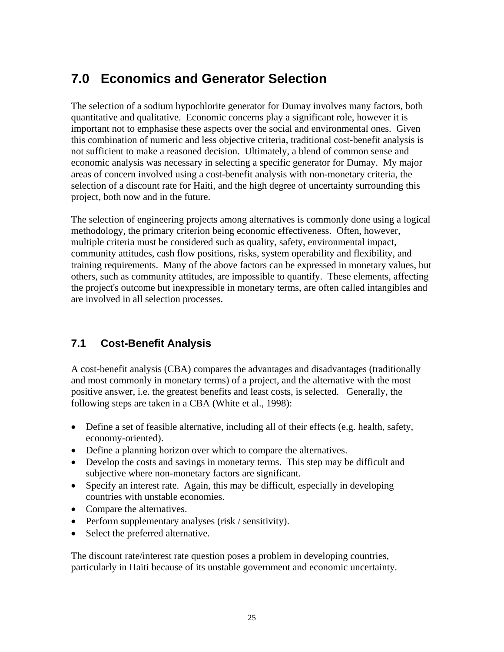## **7.0 Economics and Generator Selection**

The selection of a sodium hypochlorite generator for Dumay involves many factors, both quantitative and qualitative. Economic concerns play a significant role, however it is important not to emphasise these aspects over the social and environmental ones. Given this combination of numeric and less objective criteria, traditional cost-benefit analysis is not sufficient to make a reasoned decision. Ultimately, a blend of common sense and economic analysis was necessary in selecting a specific generator for Dumay. My major areas of concern involved using a cost-benefit analysis with non-monetary criteria, the selection of a discount rate for Haiti, and the high degree of uncertainty surrounding this project, both now and in the future.

The selection of engineering projects among alternatives is commonly done using a logical methodology, the primary criterion being economic effectiveness. Often, however, multiple criteria must be considered such as quality, safety, environmental impact, community attitudes, cash flow positions, risks, system operability and flexibility, and training requirements. Many of the above factors can be expressed in monetary values, but others, such as community attitudes, are impossible to quantify. These elements, affecting the project's outcome but inexpressible in monetary terms, are often called intangibles and are involved in all selection processes.

## **7.1 Cost-Benefit Analysis**

A cost-benefit analysis (CBA) compares the advantages and disadvantages (traditionally and most commonly in monetary terms) of a project, and the alternative with the most positive answer, i.e. the greatest benefits and least costs, is selected. Generally, the following steps are taken in a CBA (White et al., 1998):

- Define a set of feasible alternative, including all of their effects (e.g. health, safety, economy-oriented).
- Define a planning horizon over which to compare the alternatives.
- Develop the costs and savings in monetary terms. This step may be difficult and subjective where non-monetary factors are significant.
- Specify an interest rate. Again, this may be difficult, especially in developing countries with unstable economies.
- Compare the alternatives.
- Perform supplementary analyses (risk / sensitivity).
- Select the preferred alternative.

The discount rate/interest rate question poses a problem in developing countries, particularly in Haiti because of its unstable government and economic uncertainty.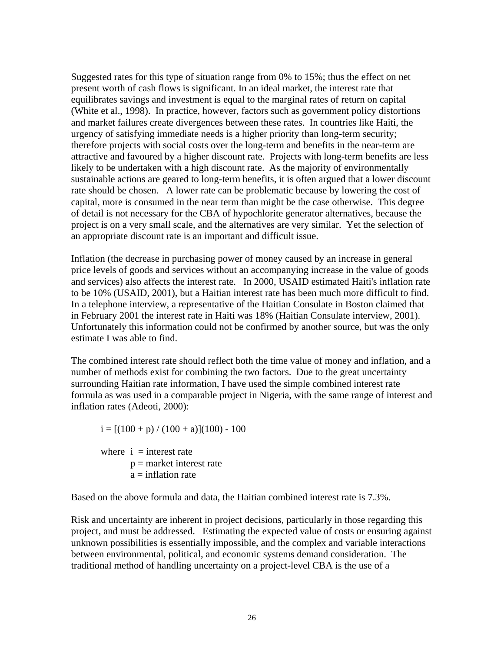Suggested rates for this type of situation range from 0% to 15%; thus the effect on net present worth of cash flows is significant. In an ideal market, the interest rate that equilibrates savings and investment is equal to the marginal rates of return on capital (White et al., 1998). In practice, however, factors such as government policy distortions and market failures create divergences between these rates. In countries like Haiti, the urgency of satisfying immediate needs is a higher priority than long-term security; therefore projects with social costs over the long-term and benefits in the near-term are attractive and favoured by a higher discount rate. Projects with long-term benefits are less likely to be undertaken with a high discount rate. As the majority of environmentally sustainable actions are geared to long-term benefits, it is often argued that a lower discount rate should be chosen. A lower rate can be problematic because by lowering the cost of capital, more is consumed in the near term than might be the case otherwise. This degree of detail is not necessary for the CBA of hypochlorite generator alternatives, because the project is on a very small scale, and the alternatives are very similar. Yet the selection of an appropriate discount rate is an important and difficult issue.

Inflation (the decrease in purchasing power of money caused by an increase in general price levels of goods and services without an accompanying increase in the value of goods and services) also affects the interest rate. In 2000, USAID estimated Haiti's inflation rate to be 10% (USAID, 2001), but a Haitian interest rate has been much more difficult to find. In a telephone interview, a representative of the Haitian Consulate in Boston claimed that in February 2001 the interest rate in Haiti was 18% (Haitian Consulate interview, 2001). Unfortunately this information could not be confirmed by another source, but was the only estimate I was able to find.

The combined interest rate should reflect both the time value of money and inflation, and a number of methods exist for combining the two factors. Due to the great uncertainty surrounding Haitian rate information, I have used the simple combined interest rate formula as was used in a comparable project in Nigeria, with the same range of interest and inflation rates (Adeoti, 2000):

 $i = [(100 + p)/(100 + a)](100) - 100$ where  $i =$  interest rate  $p =$  market interest rate  $a = inflation rate$ 

Based on the above formula and data, the Haitian combined interest rate is 7.3%.

Risk and uncertainty are inherent in project decisions, particularly in those regarding this project, and must be addressed. Estimating the expected value of costs or ensuring against unknown possibilities is essentially impossible, and the complex and variable interactions between environmental, political, and economic systems demand consideration. The traditional method of handling uncertainty on a project-level CBA is the use of a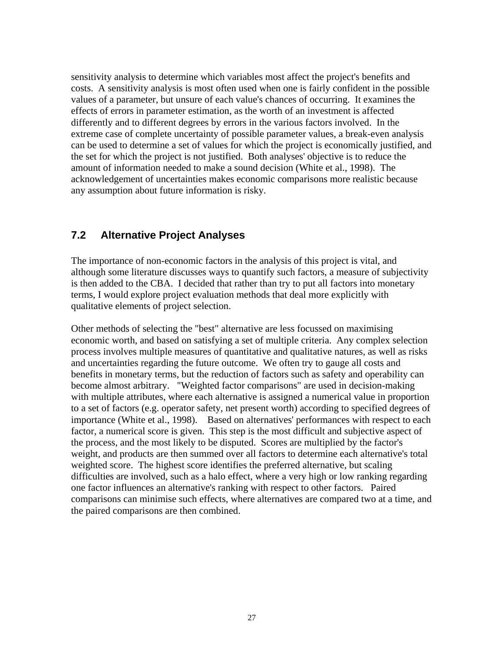sensitivity analysis to determine which variables most affect the project's benefits and costs. A sensitivity analysis is most often used when one is fairly confident in the possible values of a parameter, but unsure of each value's chances of occurring. It examines the effects of errors in parameter estimation, as the worth of an investment is affected differently and to different degrees by errors in the various factors involved. In the extreme case of complete uncertainty of possible parameter values, a break-even analysis can be used to determine a set of values for which the project is economically justified, and the set for which the project is not justified. Both analyses' objective is to reduce the amount of information needed to make a sound decision (White et al., 1998). The acknowledgement of uncertainties makes economic comparisons more realistic because any assumption about future information is risky.

### **7.2 Alternative Project Analyses**

The importance of non-economic factors in the analysis of this project is vital, and although some literature discusses ways to quantify such factors, a measure of subjectivity is then added to the CBA. I decided that rather than try to put all factors into monetary terms, I would explore project evaluation methods that deal more explicitly with qualitative elements of project selection.

Other methods of selecting the "best" alternative are less focussed on maximising economic worth, and based on satisfying a set of multiple criteria. Any complex selection process involves multiple measures of quantitative and qualitative natures, as well as risks and uncertainties regarding the future outcome. We often try to gauge all costs and benefits in monetary terms, but the reduction of factors such as safety and operability can become almost arbitrary. "Weighted factor comparisons" are used in decision-making with multiple attributes, where each alternative is assigned a numerical value in proportion to a set of factors (e.g. operator safety, net present worth) according to specified degrees of importance (White et al., 1998). Based on alternatives' performances with respect to each factor, a numerical score is given. This step is the most difficult and subjective aspect of the process, and the most likely to be disputed. Scores are multiplied by the factor's weight, and products are then summed over all factors to determine each alternative's total weighted score. The highest score identifies the preferred alternative, but scaling difficulties are involved, such as a halo effect, where a very high or low ranking regarding one factor influences an alternative's ranking with respect to other factors. Paired comparisons can minimise such effects, where alternatives are compared two at a time, and the paired comparisons are then combined.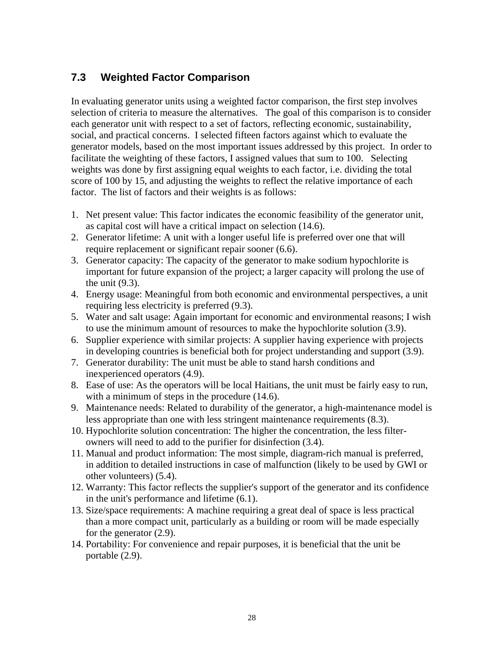## **7.3 Weighted Factor Comparison**

In evaluating generator units using a weighted factor comparison, the first step involves selection of criteria to measure the alternatives. The goal of this comparison is to consider each generator unit with respect to a set of factors, reflecting economic, sustainability, social, and practical concerns. I selected fifteen factors against which to evaluate the generator models, based on the most important issues addressed by this project. In order to facilitate the weighting of these factors, I assigned values that sum to 100. Selecting weights was done by first assigning equal weights to each factor, i.e. dividing the total score of 100 by 15, and adjusting the weights to reflect the relative importance of each factor. The list of factors and their weights is as follows:

- 1. Net present value: This factor indicates the economic feasibility of the generator unit, as capital cost will have a critical impact on selection (14.6).
- 2. Generator lifetime: A unit with a longer useful life is preferred over one that will require replacement or significant repair sooner (6.6).
- 3. Generator capacity: The capacity of the generator to make sodium hypochlorite is important for future expansion of the project; a larger capacity will prolong the use of the unit (9.3).
- 4. Energy usage: Meaningful from both economic and environmental perspectives, a unit requiring less electricity is preferred (9.3).
- 5. Water and salt usage: Again important for economic and environmental reasons; I wish to use the minimum amount of resources to make the hypochlorite solution (3.9).
- 6. Supplier experience with similar projects: A supplier having experience with projects in developing countries is beneficial both for project understanding and support (3.9).
- 7. Generator durability: The unit must be able to stand harsh conditions and inexperienced operators (4.9).
- 8. Ease of use: As the operators will be local Haitians, the unit must be fairly easy to run, with a minimum of steps in the procedure  $(14.6)$ .
- 9. Maintenance needs: Related to durability of the generator, a high-maintenance model is less appropriate than one with less stringent maintenance requirements (8.3).
- 10. Hypochlorite solution concentration: The higher the concentration, the less filterowners will need to add to the purifier for disinfection (3.4).
- 11. Manual and product information: The most simple, diagram-rich manual is preferred, in addition to detailed instructions in case of malfunction (likely to be used by GWI or other volunteers) (5.4).
- 12. Warranty: This factor reflects the supplier's support of the generator and its confidence in the unit's performance and lifetime (6.1).
- 13. Size/space requirements: A machine requiring a great deal of space is less practical than a more compact unit, particularly as a building or room will be made especially for the generator (2.9).
- 14. Portability: For convenience and repair purposes, it is beneficial that the unit be portable (2.9).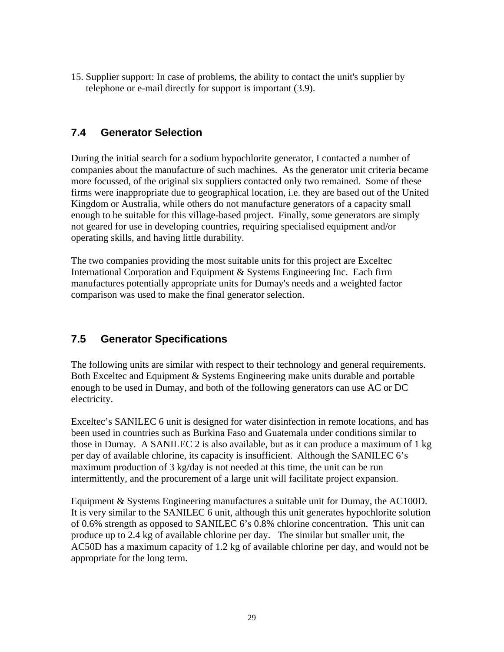15. Supplier support: In case of problems, the ability to contact the unit's supplier by telephone or e-mail directly for support is important (3.9).

## **7.4 Generator Selection**

During the initial search for a sodium hypochlorite generator, I contacted a number of companies about the manufacture of such machines. As the generator unit criteria became more focussed, of the original six suppliers contacted only two remained. Some of these firms were inappropriate due to geographical location, i.e. they are based out of the United Kingdom or Australia, while others do not manufacture generators of a capacity small enough to be suitable for this village-based project. Finally, some generators are simply not geared for use in developing countries, requiring specialised equipment and/or operating skills, and having little durability.

The two companies providing the most suitable units for this project are Exceltec International Corporation and Equipment & Systems Engineering Inc. Each firm manufactures potentially appropriate units for Dumay's needs and a weighted factor comparison was used to make the final generator selection.

### **7.5 Generator Specifications**

The following units are similar with respect to their technology and general requirements. Both Exceltec and Equipment & Systems Engineering make units durable and portable enough to be used in Dumay, and both of the following generators can use AC or DC electricity.

Exceltec's SANILEC 6 unit is designed for water disinfection in remote locations, and has been used in countries such as Burkina Faso and Guatemala under conditions similar to those in Dumay. A SANILEC 2 is also available, but as it can produce a maximum of 1 kg per day of available chlorine, its capacity is insufficient. Although the SANILEC 6's maximum production of 3 kg/day is not needed at this time, the unit can be run intermittently, and the procurement of a large unit will facilitate project expansion.

Equipment & Systems Engineering manufactures a suitable unit for Dumay, the AC100D. It is very similar to the SANILEC 6 unit, although this unit generates hypochlorite solution of 0.6% strength as opposed to SANILEC 6's 0.8% chlorine concentration. This unit can produce up to 2.4 kg of available chlorine per day. The similar but smaller unit, the AC50D has a maximum capacity of 1.2 kg of available chlorine per day, and would not be appropriate for the long term.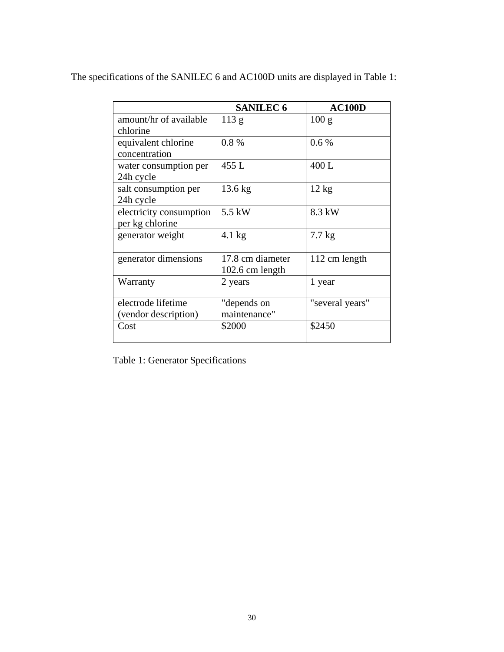|                         | <b>SANILEC 6</b>  | <b>AC100D</b>    |
|-------------------------|-------------------|------------------|
| amount/hr of available  | 113 g             | 100 g            |
| chlorine                |                   |                  |
| equivalent chlorine     | 0.8%              | 0.6%             |
| concentration           |                   |                  |
| water consumption per   | 455 L             | 400L             |
| 24h cycle               |                   |                  |
| salt consumption per    | $13.6 \text{ kg}$ | $12 \text{ kg}$  |
| 24h cycle               |                   |                  |
| electricity consumption | $5.5$ kW          | 8.3 kW           |
| per kg chlorine         |                   |                  |
| generator weight        | $4.1$ kg          | $7.7 \text{ kg}$ |
|                         |                   |                  |
| generator dimensions    | 17.8 cm diameter  | 112 cm length    |
|                         | 102.6 cm length   |                  |
| Warranty                | 2 years           | 1 year           |
|                         |                   |                  |
| electrode lifetime      | "depends on       | "several years"  |
| (vendor description)    | maintenance"      |                  |
| Cost                    | \$2000            | \$2450           |
|                         |                   |                  |

The specifications of the SANILEC 6 and AC100D units are displayed in Table 1:

Table 1: Generator Specifications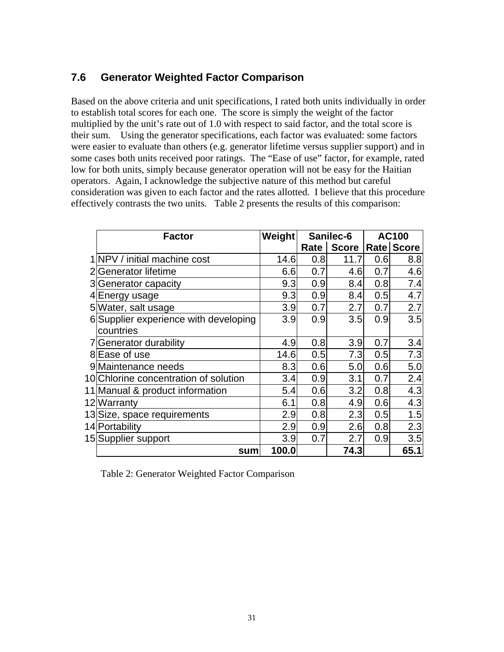### **7.6 Generator Weighted Factor Comparison**

Based on the above criteria and unit specifications, I rated both units individually in order to establish total scores for each one. The score is simply the weight of the factor multiplied by the unit's rate out of 1.0 with respect to said factor, and the total score is their sum. Using the generator specifications, each factor was evaluated: some factors were easier to evaluate than others (e.g. generator lifetime versus supplier support) and in some cases both units received poor ratings. The "Ease of use" factor, for example, rated low for both units, simply because generator operation will not be easy for the Haitian operators. Again, I acknowledge the subjective nature of this method but careful consideration was given to each factor and the rates allotted. I believe that this procedure effectively contrasts the two units. Table 2 presents the results of this comparison:

| <b>Factor</b>                         | <b>Weight</b>    |      | Sanilec-6    | <b>AC100</b> |                   |
|---------------------------------------|------------------|------|--------------|--------------|-------------------|
|                                       |                  | Rate | <b>Score</b> |              | <b>Rate Score</b> |
| 1 NPV / initial machine cost          | 14.6             | 0.8  | 11.7         | 0.6          | 8.8               |
| 2 Generator lifetime                  | 6.6              | 0.7  | 4.6          | 0.7          | 4.6               |
| 3 Generator capacity                  | 9.3              | 0.9  | 8.4          | 0.8          | 7.4               |
| 4 Energy usage                        | 9.3              | 0.9  | 8.4          | 0.5          | 4.7               |
| 5 Water, salt usage                   | 3.9              | 0.7  | 2.7          | 0.7          | 2.7               |
| 6 Supplier experience with developing | 3.9              | 0.9  | 3.5          | 0.9          | 3.5               |
| countries                             |                  |      |              |              |                   |
| 7 Generator durability                | 4.9              | 0.8  | 3.9          | 0.7          | 3.4               |
| 8 Ease of use                         | 14.6             | 0.5  | 7.3          | 0.5          | 7.3               |
| 9 Maintenance needs                   | 8.3 <sub>l</sub> | 0.6  | 5.0          | 0.6          | 5.0               |
| 10 Chlorine concentration of solution | 3.4              | 0.9  | 3.1          | 0.7          | 2.4               |
| 11 Manual & product information       | 5.4              | 0.6  | 3.2          | 0.8          | 4.3               |
| 12 Warranty                           | 6.1              | 0.8  | 4.9          | 0.6          | 4.3               |
| 13 Size, space requirements           | 2.9              | 0.8  | 2.3          | 0.5          | 1.5               |
| 14 Portability                        | 2.9              | 0.9  | 2.6          | 0.8          | 2.3               |
| 15 Supplier support                   | 3.9              | 0.7  | 2.7          | 0.9          | 3.5               |
| sum                                   | 100.0            |      | 74.3         |              | 65.1              |

Table 2: Generator Weighted Factor Comparison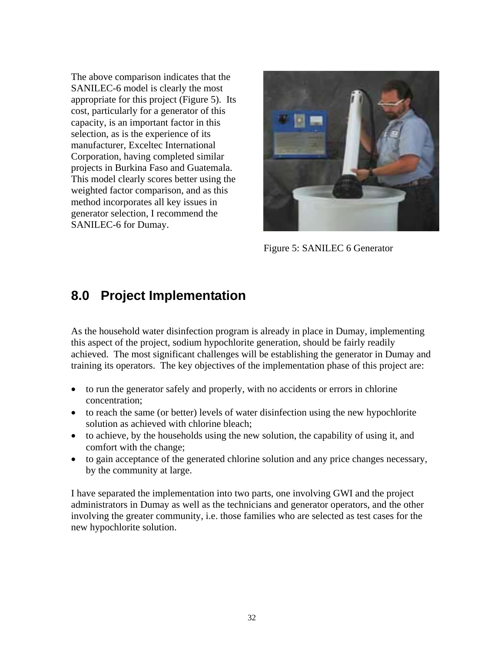The above comparison indicates that the SANILEC-6 model is clearly the most appropriate for this project (Figure 5). Its cost, particularly for a generator of this capacity, is an important factor in this selection, as is the experience of its manufacturer, Exceltec International Corporation, having completed similar projects in Burkina Faso and Guatemala. This model clearly scores better using the weighted factor comparison, and as this method incorporates all key issues in generator selection, I recommend the SANILEC-6 for Dumay.



Figure 5: SANILEC 6 Generator

## **8.0 Project Implementation**

As the household water disinfection program is already in place in Dumay, implementing this aspect of the project, sodium hypochlorite generation, should be fairly readily achieved. The most significant challenges will be establishing the generator in Dumay and training its operators. The key objectives of the implementation phase of this project are:

- to run the generator safely and properly, with no accidents or errors in chlorine concentration;
- to reach the same (or better) levels of water disinfection using the new hypochlorite solution as achieved with chlorine bleach;
- to achieve, by the households using the new solution, the capability of using it, and comfort with the change;
- to gain acceptance of the generated chlorine solution and any price changes necessary, by the community at large.

I have separated the implementation into two parts, one involving GWI and the project administrators in Dumay as well as the technicians and generator operators, and the other involving the greater community, i.e. those families who are selected as test cases for the new hypochlorite solution.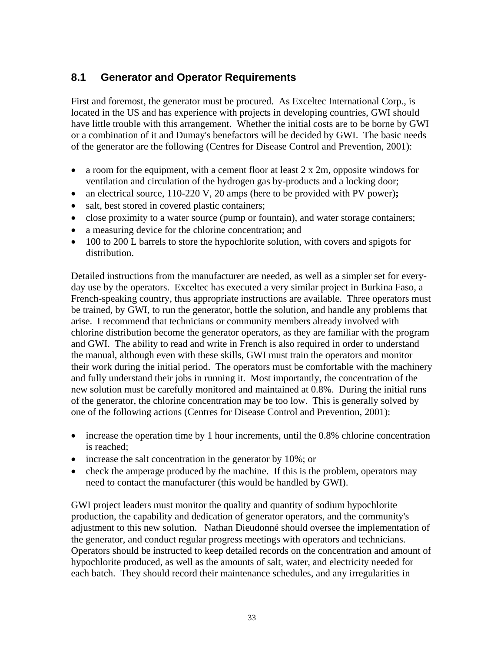## **8.1 Generator and Operator Requirements**

First and foremost, the generator must be procured. As Exceltec International Corp., is located in the US and has experience with projects in developing countries, GWI should have little trouble with this arrangement. Whether the initial costs are to be borne by GWI or a combination of it and Dumay's benefactors will be decided by GWI. The basic needs of the generator are the following (Centres for Disease Control and Prevention, 2001):

- a room for the equipment, with a cement floor at least  $2 \times 2m$ , opposite windows for ventilation and circulation of the hydrogen gas by-products and a locking door;
- an electrical source, 110-220 V, 20 amps (here to be provided with PV power)**;**
- salt, best stored in covered plastic containers;
- close proximity to a water source (pump or fountain), and water storage containers;
- a measuring device for the chlorine concentration; and
- 100 to 200 L barrels to store the hypochlorite solution, with covers and spigots for distribution.

Detailed instructions from the manufacturer are needed, as well as a simpler set for everyday use by the operators. Exceltec has executed a very similar project in Burkina Faso, a French-speaking country, thus appropriate instructions are available. Three operators must be trained, by GWI, to run the generator, bottle the solution, and handle any problems that arise. I recommend that technicians or community members already involved with chlorine distribution become the generator operators, as they are familiar with the program and GWI. The ability to read and write in French is also required in order to understand the manual, although even with these skills, GWI must train the operators and monitor their work during the initial period. The operators must be comfortable with the machinery and fully understand their jobs in running it. Most importantly, the concentration of the new solution must be carefully monitored and maintained at 0.8%. During the initial runs of the generator, the chlorine concentration may be too low. This is generally solved by one of the following actions (Centres for Disease Control and Prevention, 2001):

- increase the operation time by 1 hour increments, until the 0.8% chlorine concentration is reached;
- increase the salt concentration in the generator by 10%; or
- check the amperage produced by the machine. If this is the problem, operators may need to contact the manufacturer (this would be handled by GWI).

GWI project leaders must monitor the quality and quantity of sodium hypochlorite production, the capability and dedication of generator operators, and the community's adjustment to this new solution. Nathan Dieudonné should oversee the implementation of the generator, and conduct regular progress meetings with operators and technicians. Operators should be instructed to keep detailed records on the concentration and amount of hypochlorite produced, as well as the amounts of salt, water, and electricity needed for each batch. They should record their maintenance schedules, and any irregularities in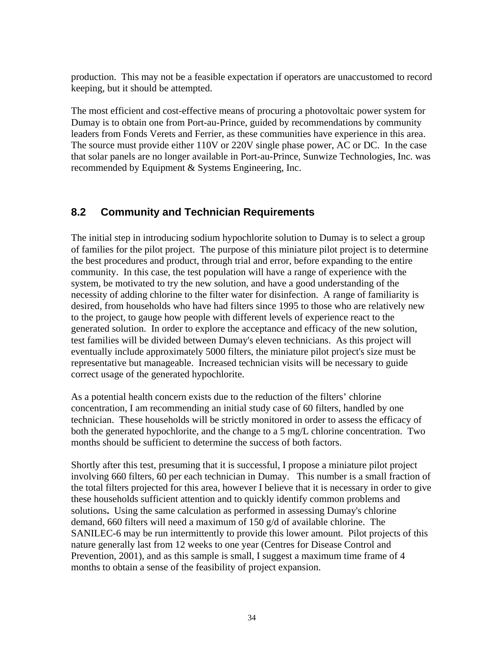production. This may not be a feasible expectation if operators are unaccustomed to record keeping, but it should be attempted.

The most efficient and cost-effective means of procuring a photovoltaic power system for Dumay is to obtain one from Port-au-Prince, guided by recommendations by community leaders from Fonds Verets and Ferrier, as these communities have experience in this area. The source must provide either 110V or 220V single phase power, AC or DC. In the case that solar panels are no longer available in Port-au-Prince, Sunwize Technologies, Inc. was recommended by Equipment & Systems Engineering, Inc.

### **8.2 Community and Technician Requirements**

The initial step in introducing sodium hypochlorite solution to Dumay is to select a group of families for the pilot project. The purpose of this miniature pilot project is to determine the best procedures and product, through trial and error, before expanding to the entire community. In this case, the test population will have a range of experience with the system, be motivated to try the new solution, and have a good understanding of the necessity of adding chlorine to the filter water for disinfection. A range of familiarity is desired, from households who have had filters since 1995 to those who are relatively new to the project, to gauge how people with different levels of experience react to the generated solution. In order to explore the acceptance and efficacy of the new solution, test families will be divided between Dumay's eleven technicians. As this project will eventually include approximately 5000 filters, the miniature pilot project's size must be representative but manageable. Increased technician visits will be necessary to guide correct usage of the generated hypochlorite.

As a potential health concern exists due to the reduction of the filters' chlorine concentration, I am recommending an initial study case of 60 filters, handled by one technician. These households will be strictly monitored in order to assess the efficacy of both the generated hypochlorite, and the change to a 5 mg/L chlorine concentration. Two months should be sufficient to determine the success of both factors.

Shortly after this test, presuming that it is successful, I propose a miniature pilot project involving 660 filters, 60 per each technician in Dumay. This number is a small fraction of the total filters projected for this area, however I believe that it is necessary in order to give these households sufficient attention and to quickly identify common problems and solutions**.** Using the same calculation as performed in assessing Dumay's chlorine demand, 660 filters will need a maximum of 150 g/d of available chlorine. The SANILEC-6 may be run intermittently to provide this lower amount. Pilot projects of this nature generally last from 12 weeks to one year (Centres for Disease Control and Prevention, 2001), and as this sample is small, I suggest a maximum time frame of 4 months to obtain a sense of the feasibility of project expansion.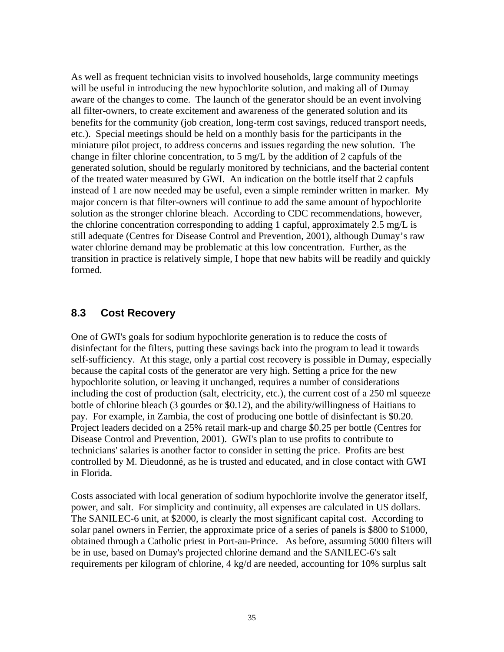As well as frequent technician visits to involved households, large community meetings will be useful in introducing the new hypochlorite solution, and making all of Dumay aware of the changes to come. The launch of the generator should be an event involving all filter-owners, to create excitement and awareness of the generated solution and its benefits for the community (job creation, long-term cost savings, reduced transport needs, etc.). Special meetings should be held on a monthly basis for the participants in the miniature pilot project, to address concerns and issues regarding the new solution. The change in filter chlorine concentration, to 5 mg/L by the addition of 2 capfuls of the generated solution, should be regularly monitored by technicians, and the bacterial content of the treated water measured by GWI. An indication on the bottle itself that 2 capfuls instead of 1 are now needed may be useful, even a simple reminder written in marker. My major concern is that filter-owners will continue to add the same amount of hypochlorite solution as the stronger chlorine bleach. According to CDC recommendations, however, the chlorine concentration corresponding to adding 1 capful, approximately 2.5 mg/L is still adequate (Centres for Disease Control and Prevention, 2001), although Dumay's raw water chlorine demand may be problematic at this low concentration. Further, as the transition in practice is relatively simple, I hope that new habits will be readily and quickly formed.

#### **8.3 Cost Recovery**

One of GWI's goals for sodium hypochlorite generation is to reduce the costs of disinfectant for the filters, putting these savings back into the program to lead it towards self-sufficiency. At this stage, only a partial cost recovery is possible in Dumay, especially because the capital costs of the generator are very high. Setting a price for the new hypochlorite solution, or leaving it unchanged, requires a number of considerations including the cost of production (salt, electricity, etc.), the current cost of a 250 ml squeeze bottle of chlorine bleach (3 gourdes or \$0.12), and the ability/willingness of Haitians to pay. For example, in Zambia, the cost of producing one bottle of disinfectant is \$0.20. Project leaders decided on a 25% retail mark-up and charge \$0.25 per bottle (Centres for Disease Control and Prevention, 2001). GWI's plan to use profits to contribute to technicians' salaries is another factor to consider in setting the price. Profits are best controlled by M. Dieudonné, as he is trusted and educated, and in close contact with GWI in Florida.

Costs associated with local generation of sodium hypochlorite involve the generator itself, power, and salt. For simplicity and continuity, all expenses are calculated in US dollars. The SANILEC-6 unit, at \$2000, is clearly the most significant capital cost. According to solar panel owners in Ferrier, the approximate price of a series of panels is \$800 to \$1000, obtained through a Catholic priest in Port-au-Prince. As before, assuming 5000 filters will be in use, based on Dumay's projected chlorine demand and the SANILEC-6's salt requirements per kilogram of chlorine, 4 kg/d are needed, accounting for 10% surplus salt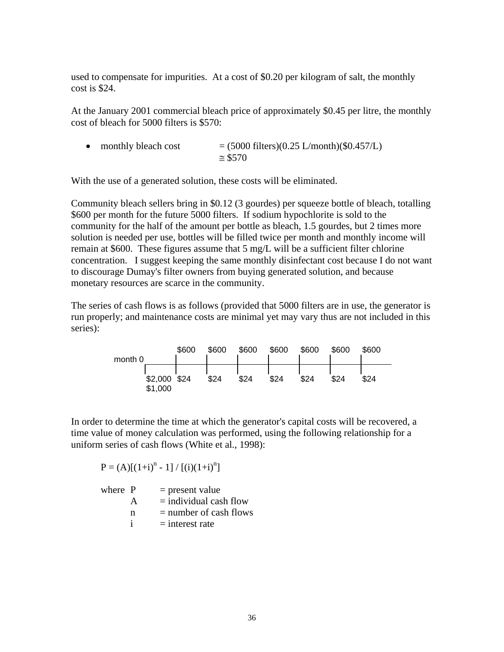used to compensate for impurities. At a cost of \$0.20 per kilogram of salt, the monthly cost is \$24.

At the January 2001 commercial bleach price of approximately \$0.45 per litre, the monthly cost of bleach for 5000 filters is \$570:

• monthly bleach cost  $= (5000 \text{ filters})(0.25 \text{ L/month})(\$0.457/\text{L})$  $\approx$  \$570

With the use of a generated solution, these costs will be eliminated.

Community bleach sellers bring in \$0.12 (3 gourdes) per squeeze bottle of bleach, totalling \$600 per month for the future 5000 filters. If sodium hypochlorite is sold to the community for the half of the amount per bottle as bleach, 1.5 gourdes, but 2 times more solution is needed per use, bottles will be filled twice per month and monthly income will remain at \$600. These figures assume that 5 mg/L will be a sufficient filter chlorine concentration. I suggest keeping the same monthly disinfectant cost because I do not want to discourage Dumay's filter owners from buying generated solution, and because monetary resources are scarce in the community.

The series of cash flows is as follows (provided that 5000 filters are in use, the generator is run properly; and maintenance costs are minimal yet may vary thus are not included in this series):

| month 0 |                         | \$600 | \$600 | \$600 | \$600 | \$600 | \$600 | \$600 |
|---------|-------------------------|-------|-------|-------|-------|-------|-------|-------|
|         | \$2,000 \$24<br>\$1,000 |       | \$24  | \$24  | \$24  | \$24  | \$24  | \$24  |

In order to determine the time at which the generator's capital costs will be recovered, a time value of money calculation was performed, using the following relationship for a uniform series of cash flows (White et al., 1998):

 $P = (A) [(1+i)^n - 1] / [(i)(1+i)^n]$ 

where  $P =$  present value  $A =$  individual cash flow  $n = number of cash flows$  $i =$ interest rate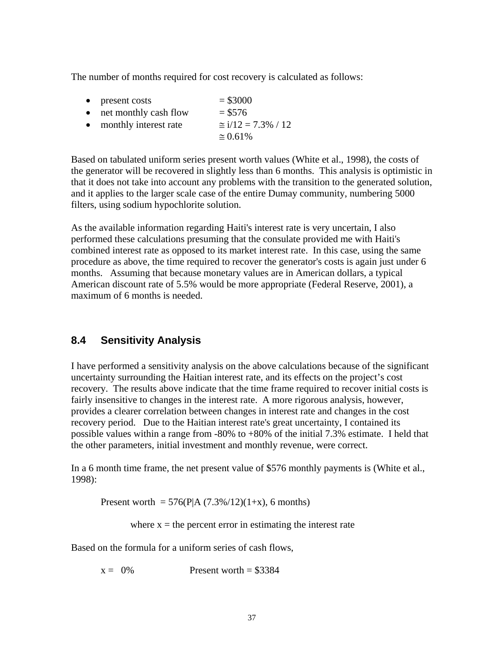The number of months required for cost recovery is calculated as follows:

• present costs  $= $3000$ • net monthly cash flow  $= $576$ • monthly interest rate  $\approx i/12 = 7.3\% / 12$  $\approx 0.61\%$ 

Based on tabulated uniform series present worth values (White et al., 1998), the costs of the generator will be recovered in slightly less than 6 months. This analysis is optimistic in that it does not take into account any problems with the transition to the generated solution, and it applies to the larger scale case of the entire Dumay community, numbering 5000 filters, using sodium hypochlorite solution.

As the available information regarding Haiti's interest rate is very uncertain, I also performed these calculations presuming that the consulate provided me with Haiti's combined interest rate as opposed to its market interest rate. In this case, using the same procedure as above, the time required to recover the generator's costs is again just under 6 months. Assuming that because monetary values are in American dollars, a typical American discount rate of 5.5% would be more appropriate (Federal Reserve, 2001), a maximum of 6 months is needed.

### **8.4 Sensitivity Analysis**

I have performed a sensitivity analysis on the above calculations because of the significant uncertainty surrounding the Haitian interest rate, and its effects on the project's cost recovery. The results above indicate that the time frame required to recover initial costs is fairly insensitive to changes in the interest rate. A more rigorous analysis, however, provides a clearer correlation between changes in interest rate and changes in the cost recovery period. Due to the Haitian interest rate's great uncertainty, I contained its possible values within a range from -80% to +80% of the initial 7.3% estimate. I held that the other parameters, initial investment and monthly revenue, were correct.

In a 6 month time frame, the net present value of \$576 monthly payments is (White et al., 1998):

Present worth =  $576(P|A (7.3\%/12)(1+x)$ , 6 months)

where  $x =$  the percent error in estimating the interest rate

Based on the formula for a uniform series of cash flows,

 $x = 0\%$  Present worth = \$3384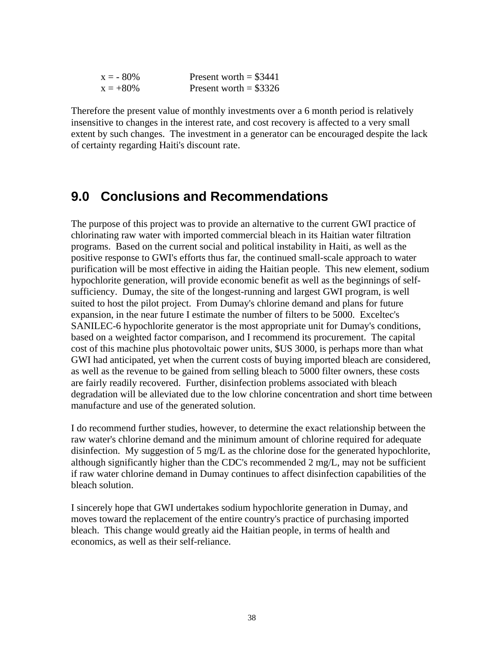| $x = -80\%$ | Present worth $=$ \$3441 |
|-------------|--------------------------|
| $x = +80\%$ | Present worth = $$3326$  |

Therefore the present value of monthly investments over a 6 month period is relatively insensitive to changes in the interest rate, and cost recovery is affected to a very small extent by such changes. The investment in a generator can be encouraged despite the lack of certainty regarding Haiti's discount rate.

## **9.0 Conclusions and Recommendations**

The purpose of this project was to provide an alternative to the current GWI practice of chlorinating raw water with imported commercial bleach in its Haitian water filtration programs. Based on the current social and political instability in Haiti, as well as the positive response to GWI's efforts thus far, the continued small-scale approach to water purification will be most effective in aiding the Haitian people. This new element, sodium hypochlorite generation, will provide economic benefit as well as the beginnings of selfsufficiency. Dumay, the site of the longest-running and largest GWI program, is well suited to host the pilot project. From Dumay's chlorine demand and plans for future expansion, in the near future I estimate the number of filters to be 5000. Exceltec's SANILEC-6 hypochlorite generator is the most appropriate unit for Dumay's conditions, based on a weighted factor comparison, and I recommend its procurement. The capital cost of this machine plus photovoltaic power units, \$US 3000, is perhaps more than what GWI had anticipated, yet when the current costs of buying imported bleach are considered, as well as the revenue to be gained from selling bleach to 5000 filter owners, these costs are fairly readily recovered. Further, disinfection problems associated with bleach degradation will be alleviated due to the low chlorine concentration and short time between manufacture and use of the generated solution.

I do recommend further studies, however, to determine the exact relationship between the raw water's chlorine demand and the minimum amount of chlorine required for adequate disinfection. My suggestion of 5 mg/L as the chlorine dose for the generated hypochlorite, although significantly higher than the CDC's recommended 2 mg/L, may not be sufficient if raw water chlorine demand in Dumay continues to affect disinfection capabilities of the bleach solution.

I sincerely hope that GWI undertakes sodium hypochlorite generation in Dumay, and moves toward the replacement of the entire country's practice of purchasing imported bleach. This change would greatly aid the Haitian people, in terms of health and economics, as well as their self-reliance.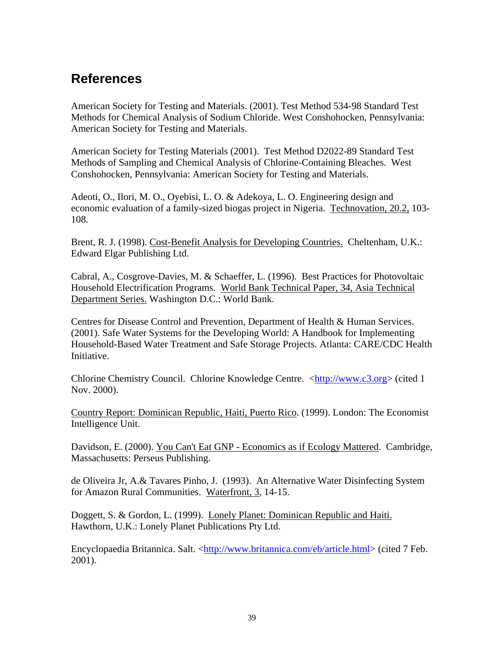## **References**

American Society for Testing and Materials. (2001). Test Method 534-98 Standard Test Methods for Chemical Analysis of Sodium Chloride. West Conshohocken, Pennsylvania: American Society for Testing and Materials.

American Society for Testing Materials (2001). Test Method D2022-89 Standard Test Methods of Sampling and Chemical Analysis of Chlorine-Containing Bleaches. West Conshohocken, Pennsylvania: American Society for Testing and Materials.

Adeoti, O., Ilori, M. O., Oyebisi, L. O. & Adekoya, L. O. Engineering design and economic evaluation of a family-sized biogas project in Nigeria. Technovation, 20.2, 103- 108.

Brent, R. J. (1998). Cost-Benefit Analysis for Developing Countries. Cheltenham, U.K.: Edward Elgar Publishing Ltd.

Cabral, A., Cosgrove-Davies, M. & Schaeffer, L. (1996). Best Practices for Photovoltaic Household Electrification Programs. World Bank Technical Paper, 34, Asia Technical Department Series. Washington D.C.: World Bank.

Centres for Disease Control and Prevention, Department of Health & Human Services. (2001). Safe Water Systems for the Developing World: A Handbook for Implementing Household-Based Water Treatment and Safe Storage Projects. Atlanta: CARE/CDC Health Initiative.

Chlorine Chemistry Council. Chlorine Knowledge Centre. <http://www.c3.org> (cited 1 Nov. 2000).

Country Report: Dominican Republic, Haiti, Puerto Rico. (1999). London: The Economist Intelligence Unit.

Davidson, E. (2000). You Can't Eat GNP - Economics as if Ecology Mattered. Cambridge, Massachusetts: Perseus Publishing.

de Oliveira Jr, A.& Tavares Pinho, J. (1993). An Alternative Water Disinfecting System for Amazon Rural Communities. Waterfront, 3, 14-15.

Doggett, S. & Gordon, L. (1999). Lonely Planet: Dominican Republic and Haiti. Hawthorn, U.K.: Lonely Planet Publications Pty Ltd.

Encyclopaedia Britannica. Salt. <http://www.britannica.com/eb/article.html> (cited 7 Feb. 2001).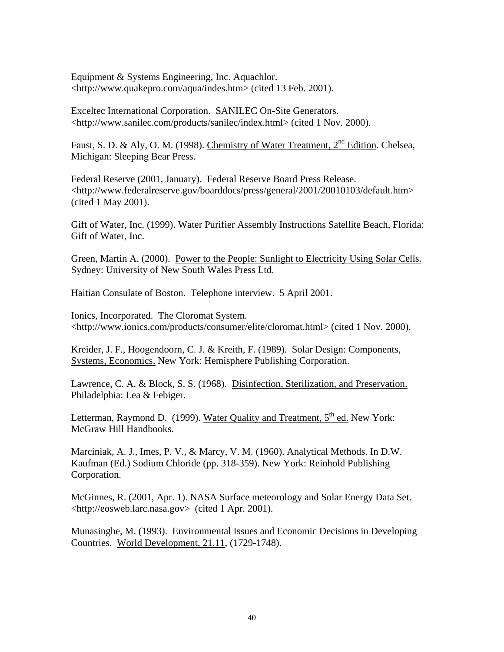Equipment & Systems Engineering, Inc. Aquachlor. <http://www.quakepro.com/aqua/indes.htm> (cited 13 Feb. 2001).

Exceltec International Corporation. SANILEC On-Site Generators. <http://www.sanilec.com/products/sanilec/index.html> (cited 1 Nov. 2000).

Faust, S. D. & Aly, O. M. (1998). Chemistry of Water Treatment, 2nd Edition*.* Chelsea, Michigan: Sleeping Bear Press.

Federal Reserve (2001, January). Federal Reserve Board Press Release. <http://www.federalreserve.gov/boarddocs/press/general/2001/20010103/default.htm> (cited 1 May 2001).

Gift of Water, Inc. (1999). Water Purifier Assembly Instructions Satellite Beach, Florida: Gift of Water, Inc.

Green, Martin A. (2000). Power to the People: Sunlight to Electricity Using Solar Cells. Sydney: University of New South Wales Press Ltd.

Haitian Consulate of Boston. Telephone interview. 5 April 2001.

Ionics, Incorporated. The Cloromat System. <http://www.ionics.com/products/consumer/elite/cloromat.html> (cited 1 Nov. 2000).

Kreider, J. F., Hoogendoorn, C. J. & Kreith, F. (1989). Solar Design: Components, Systems, Economics. New York: Hemisphere Publishing Corporation.

Lawrence, C. A. & Block, S. S. (1968). Disinfection, Sterilization, and Preservation. Philadelphia: Lea & Febiger.

Letterman, Raymond D. (1999). Water Quality and Treatment, 5<sup>th</sup> ed. New York: McGraw Hill Handbooks.

Marciniak, A. J., Imes, P. V., & Marcy, V. M. (1960). Analytical Methods. In D.W. Kaufman (Ed.) Sodium Chloride (pp. 318-359). New York: Reinhold Publishing Corporation.

McGinnes, R. (2001, Apr. 1). NASA Surface meteorology and Solar Energy Data Set. <http://eosweb.larc.nasa.gov> (cited 1 Apr. 2001).

Munasinghe, M. (1993). Environmental Issues and Economic Decisions in Developing Countries. World Development, 21.11, (1729-1748).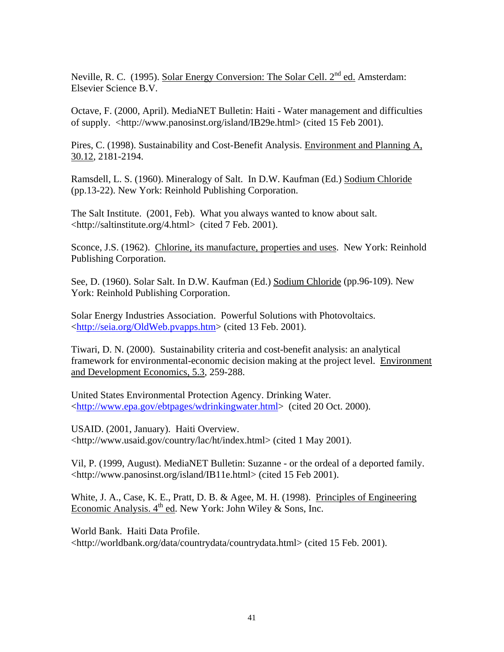Neville, R. C. (1995). Solar Energy Conversion: The Solar Cell. 2<sup>nd</sup> ed. Amsterdam: Elsevier Science B.V.

Octave, F. (2000, April). MediaNET Bulletin: Haiti - Water management and difficulties of supply. <http://www.panosinst.org/island/IB29e.html> (cited 15 Feb 2001).

Pires, C. (1998). Sustainability and Cost-Benefit Analysis. Environment and Planning A, 30.12, 2181-2194.

Ramsdell, L. S. (1960). Mineralogy of Salt. In D.W. Kaufman (Ed.) Sodium Chloride (pp.13-22). New York: Reinhold Publishing Corporation.

The Salt Institute. (2001, Feb). What you always wanted to know about salt. <http://saltinstitute.org/4.html> (cited 7 Feb. 2001).

Sconce, J.S. (1962). Chlorine, its manufacture, properties and uses. New York: Reinhold Publishing Corporation.

See, D. (1960). Solar Salt. In D.W. Kaufman (Ed.) Sodium Chloride (pp.96-109). New York: Reinhold Publishing Corporation.

Solar Energy Industries Association. Powerful Solutions with Photovoltaics. <http://seia.org/OldWeb.pvapps.htm> (cited 13 Feb. 2001).

Tiwari, D. N. (2000). Sustainability criteria and cost-benefit analysis: an analytical framework for environmental-economic decision making at the project level. Environment and Development Economics, 5.3, 259-288.

United States Environmental Protection Agency. Drinking Water. <http://www.epa.gov/ebtpages/wdrinkingwater.html> (cited 20 Oct. 2000).

USAID. (2001, January). Haiti Overview. <http://www.usaid.gov/country/lac/ht/index.html> (cited 1 May 2001).

Vil, P. (1999, August). MediaNET Bulletin: Suzanne - or the ordeal of a deported family. <http://www.panosinst.org/island/IB11e.html> (cited 15 Feb 2001).

White, J. A., Case, K. E., Pratt, D. B. & Agee, M. H. (1998). Principles of Engineering Economic Analysis.  $4<sup>th</sup>$  ed. New York: John Wiley & Sons, Inc.

World Bank. Haiti Data Profile. <http://worldbank.org/data/countrydata/countrydata.html> (cited 15 Feb. 2001).